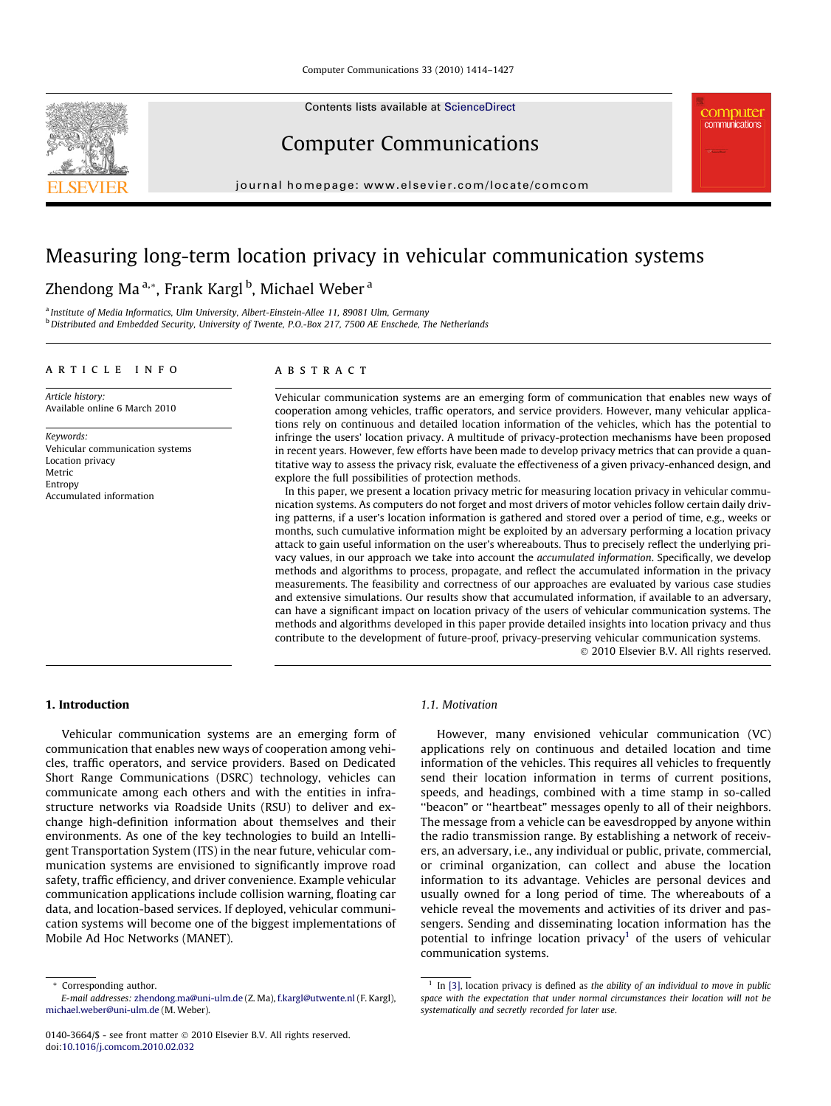Contents lists available at [ScienceDirect](http://www.sciencedirect.com/science/journal/01403664)

# Computer Communications

journal homepage: [www.elsevier.com/locate/comcom](http://www.elsevier.com/locate/comcom)

# Measuring long-term location privacy in vehicular communication systems

# Zhendong Ma<sup>a,</sup>\*, Frank Kargl <sup>b</sup>, Michael Weber <sup>a</sup>

<sup>a</sup> Institute of Media Informatics, Ulm University, Albert-Einstein-Allee 11, 89081 Ulm, Germany <sup>b</sup> Distributed and Embedded Security, University of Twente, P.O.-Box 217, 7500 AE Enschede, The Netherlands

#### article info

Available online 6 March 2010

Vehicular communication systems

Article history:

Location privacy Metric **Entropy** 

Accumulated information

Keywords:

# **ABSTRACT**

Vehicular communication systems are an emerging form of communication that enables new ways of cooperation among vehicles, traffic operators, and service providers. However, many vehicular applications rely on continuous and detailed location information of the vehicles, which has the potential to infringe the users' location privacy. A multitude of privacy-protection mechanisms have been proposed in recent years. However, few efforts have been made to develop privacy metrics that can provide a quantitative way to assess the privacy risk, evaluate the effectiveness of a given privacy-enhanced design, and explore the full possibilities of protection methods.

In this paper, we present a location privacy metric for measuring location privacy in vehicular communication systems. As computers do not forget and most drivers of motor vehicles follow certain daily driving patterns, if a user's location information is gathered and stored over a period of time, e.g., weeks or months, such cumulative information might be exploited by an adversary performing a location privacy attack to gain useful information on the user's whereabouts. Thus to precisely reflect the underlying privacy values, in our approach we take into account the accumulated information. Specifically, we develop methods and algorithms to process, propagate, and reflect the accumulated information in the privacy measurements. The feasibility and correctness of our approaches are evaluated by various case studies and extensive simulations. Our results show that accumulated information, if available to an adversary, can have a significant impact on location privacy of the users of vehicular communication systems. The methods and algorithms developed in this paper provide detailed insights into location privacy and thus contribute to the development of future-proof, privacy-preserving vehicular communication systems.

© 2010 Elsevier B.V. All rights reserved.

computer communications

# 1. Introduction

Vehicular communication systems are an emerging form of communication that enables new ways of cooperation among vehicles, traffic operators, and service providers. Based on Dedicated Short Range Communications (DSRC) technology, vehicles can communicate among each others and with the entities in infrastructure networks via Roadside Units (RSU) to deliver and exchange high-definition information about themselves and their environments. As one of the key technologies to build an Intelligent Transportation System (ITS) in the near future, vehicular communication systems are envisioned to significantly improve road safety, traffic efficiency, and driver convenience. Example vehicular communication applications include collision warning, floating car data, and location-based services. If deployed, vehicular communication systems will become one of the biggest implementations of Mobile Ad Hoc Networks (MANET).

## 1.1. Motivation

However, many envisioned vehicular communication (VC) applications rely on continuous and detailed location and time information of the vehicles. This requires all vehicles to frequently send their location information in terms of current positions, speeds, and headings, combined with a time stamp in so-called ''beacon" or ''heartbeat" messages openly to all of their neighbors. The message from a vehicle can be eavesdropped by anyone within the radio transmission range. By establishing a network of receivers, an adversary, i.e., any individual or public, private, commercial, or criminal organization, can collect and abuse the location information to its advantage. Vehicles are personal devices and usually owned for a long period of time. The whereabouts of a vehicle reveal the movements and activities of its driver and passengers. Sending and disseminating location information has the potential to infringe location privacy<sup>1</sup> of the users of vehicular communication systems.



<sup>\*</sup> Corresponding author. E-mail addresses: [zhendong.ma@uni-ulm.de](mailto:zhendong.ma@uni-ulm.de) (Z. Ma), [f.kargl@utwente.nl](mailto:f.kargl@utwente.nl) (F. Kargl), [michael.weber@uni-ulm.de](mailto:michael.weber@uni-ulm.de) (M. Weber).

 $1$  In [\[3\]](#page-13-0), location privacy is defined as the ability of an individual to move in public space with the expectation that under normal circumstances their location will not be systematically and secretly recorded for later use.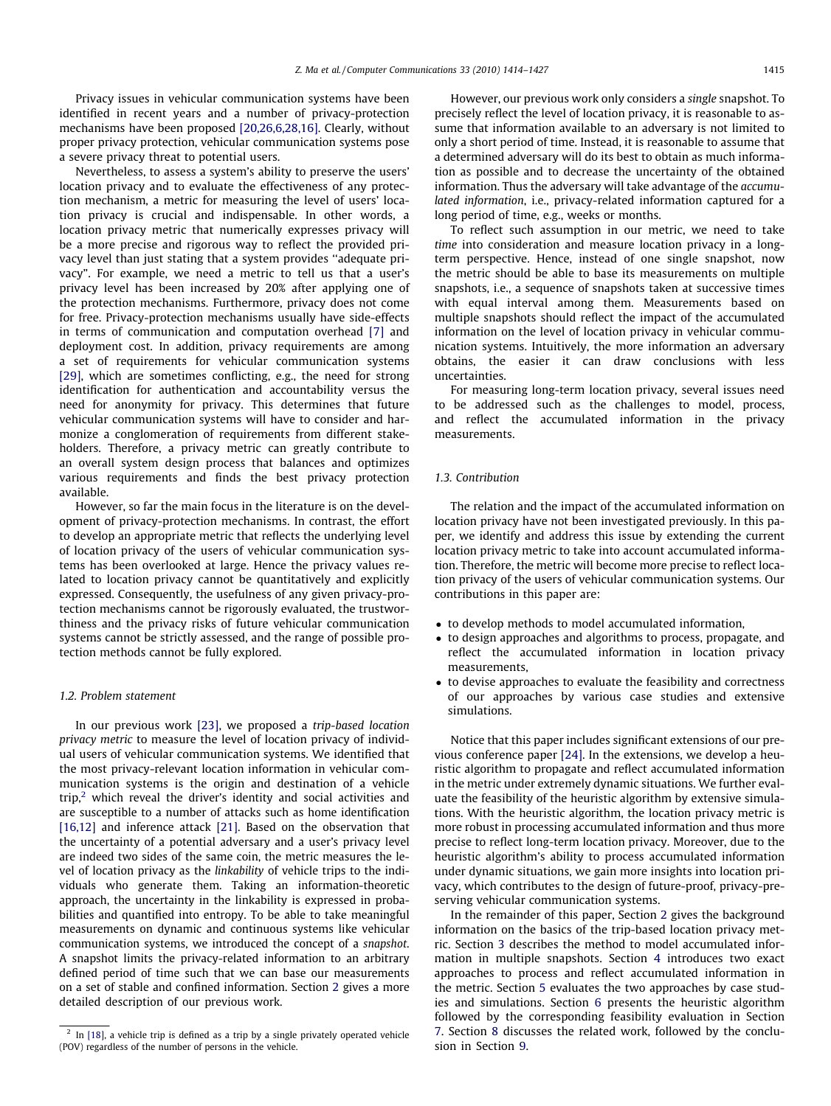Privacy issues in vehicular communication systems have been identified in recent years and a number of privacy-protection mechanisms have been proposed [\[20,26,6,28,16\]](#page-13-0). Clearly, without proper privacy protection, vehicular communication systems pose a severe privacy threat to potential users.

Nevertheless, to assess a system's ability to preserve the users' location privacy and to evaluate the effectiveness of any protection mechanism, a metric for measuring the level of users' location privacy is crucial and indispensable. In other words, a location privacy metric that numerically expresses privacy will be a more precise and rigorous way to reflect the provided privacy level than just stating that a system provides ''adequate privacy". For example, we need a metric to tell us that a user's privacy level has been increased by 20% after applying one of the protection mechanisms. Furthermore, privacy does not come for free. Privacy-protection mechanisms usually have side-effects in terms of communication and computation overhead [\[7\]](#page-13-0) and deployment cost. In addition, privacy requirements are among a set of requirements for vehicular communication systems [\[29\],](#page-13-0) which are sometimes conflicting, e.g., the need for strong identification for authentication and accountability versus the need for anonymity for privacy. This determines that future vehicular communication systems will have to consider and harmonize a conglomeration of requirements from different stakeholders. Therefore, a privacy metric can greatly contribute to an overall system design process that balances and optimizes various requirements and finds the best privacy protection available.

However, so far the main focus in the literature is on the development of privacy-protection mechanisms. In contrast, the effort to develop an appropriate metric that reflects the underlying level of location privacy of the users of vehicular communication systems has been overlooked at large. Hence the privacy values related to location privacy cannot be quantitatively and explicitly expressed. Consequently, the usefulness of any given privacy-protection mechanisms cannot be rigorously evaluated, the trustworthiness and the privacy risks of future vehicular communication systems cannot be strictly assessed, and the range of possible protection methods cannot be fully explored.

#### 1.2. Problem statement

In our previous work [\[23\],](#page-13-0) we proposed a trip-based location privacy metric to measure the level of location privacy of individual users of vehicular communication systems. We identified that the most privacy-relevant location information in vehicular communication systems is the origin and destination of a vehicle  $trip<sub>i</sub><sup>2</sup>$  which reveal the driver's identity and social activities and are susceptible to a number of attacks such as home identification [\[16,12\]](#page-13-0) and inference attack [\[21\]](#page-13-0). Based on the observation that the uncertainty of a potential adversary and a user's privacy level are indeed two sides of the same coin, the metric measures the level of location privacy as the linkability of vehicle trips to the individuals who generate them. Taking an information-theoretic approach, the uncertainty in the linkability is expressed in probabilities and quantified into entropy. To be able to take meaningful measurements on dynamic and continuous systems like vehicular communication systems, we introduced the concept of a snapshot. A snapshot limits the privacy-related information to an arbitrary defined period of time such that we can base our measurements on a set of stable and confined information. Section [2](#page-2-0) gives a more detailed description of our previous work.

However, our previous work only considers a single snapshot. To precisely reflect the level of location privacy, it is reasonable to assume that information available to an adversary is not limited to only a short period of time. Instead, it is reasonable to assume that a determined adversary will do its best to obtain as much information as possible and to decrease the uncertainty of the obtained information. Thus the adversary will take advantage of the accumulated information, i.e., privacy-related information captured for a long period of time, e.g., weeks or months.

To reflect such assumption in our metric, we need to take time into consideration and measure location privacy in a longterm perspective. Hence, instead of one single snapshot, now the metric should be able to base its measurements on multiple snapshots, i.e., a sequence of snapshots taken at successive times with equal interval among them. Measurements based on multiple snapshots should reflect the impact of the accumulated information on the level of location privacy in vehicular communication systems. Intuitively, the more information an adversary obtains, the easier it can draw conclusions with less uncertainties.

For measuring long-term location privacy, several issues need to be addressed such as the challenges to model, process, and reflect the accumulated information in the privacy measurements.

#### 1.3. Contribution

The relation and the impact of the accumulated information on location privacy have not been investigated previously. In this paper, we identify and address this issue by extending the current location privacy metric to take into account accumulated information. Therefore, the metric will become more precise to reflect location privacy of the users of vehicular communication systems. Our contributions in this paper are:

- to develop methods to model accumulated information,
- to design approaches and algorithms to process, propagate, and reflect the accumulated information in location privacy measurements,
- to devise approaches to evaluate the feasibility and correctness of our approaches by various case studies and extensive simulations.

Notice that this paper includes significant extensions of our previous conference paper [\[24\].](#page-13-0) In the extensions, we develop a heuristic algorithm to propagate and reflect accumulated information in the metric under extremely dynamic situations. We further evaluate the feasibility of the heuristic algorithm by extensive simulations. With the heuristic algorithm, the location privacy metric is more robust in processing accumulated information and thus more precise to reflect long-term location privacy. Moreover, due to the heuristic algorithm's ability to process accumulated information under dynamic situations, we gain more insights into location privacy, which contributes to the design of future-proof, privacy-preserving vehicular communication systems.

In the remainder of this paper, Section [2](#page-2-0) gives the background information on the basics of the trip-based location privacy metric. Section [3](#page-2-0) describes the method to model accumulated information in multiple snapshots. Section [4](#page-3-0) introduces two exact approaches to process and reflect accumulated information in the metric. Section [5](#page-5-0) evaluates the two approaches by case studies and simulations. Section [6](#page-8-0) presents the heuristic algorithm followed by the corresponding feasibility evaluation in Section [7](#page-9-0). Section [8](#page-12-0) discusses the related work, followed by the conclusion in Section [9](#page-12-0).

 $2$  In [\[18\],](#page-13-0) a vehicle trip is defined as a trip by a single privately operated vehicle (POV) regardless of the number of persons in the vehicle.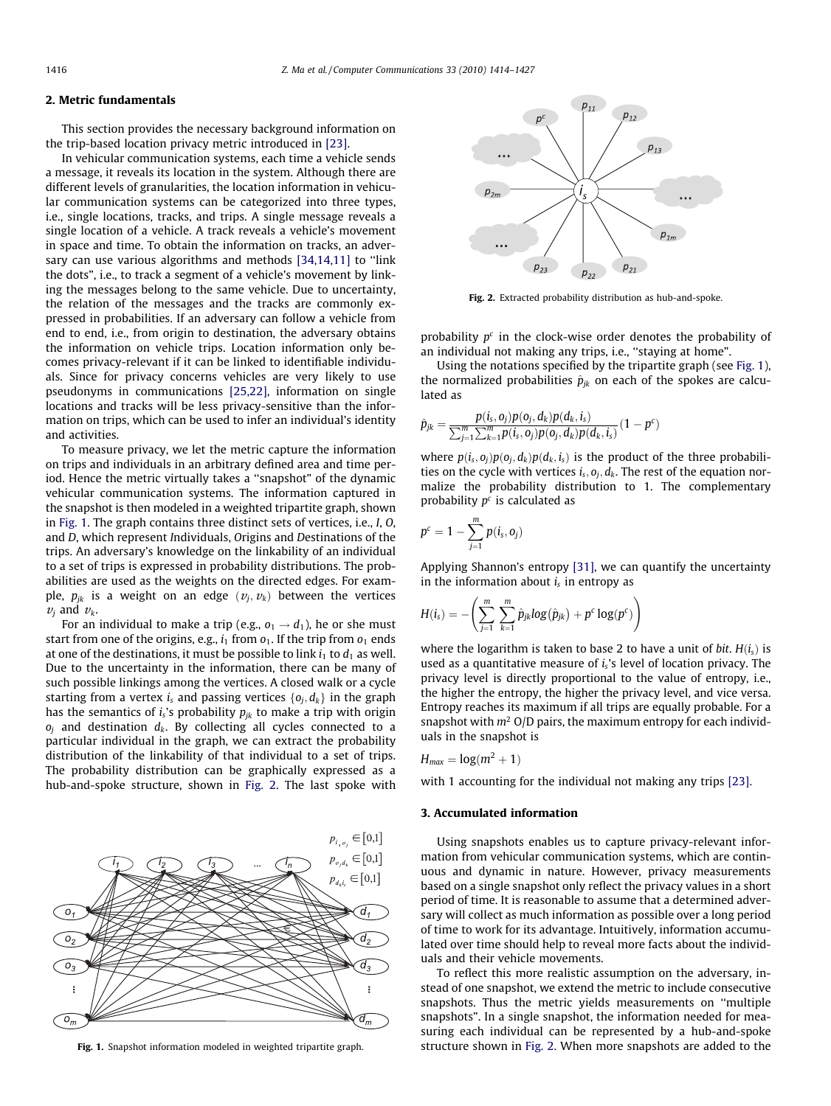### <span id="page-2-0"></span>2. Metric fundamentals

This section provides the necessary background information on the trip-based location privacy metric introduced in [\[23\].](#page-13-0)

In vehicular communication systems, each time a vehicle sends a message, it reveals its location in the system. Although there are different levels of granularities, the location information in vehicular communication systems can be categorized into three types, i.e., single locations, tracks, and trips. A single message reveals a single location of a vehicle. A track reveals a vehicle's movement in space and time. To obtain the information on tracks, an adver-sary can use various algorithms and methods [\[34,14,11\]](#page-13-0) to "link the dots", i.e., to track a segment of a vehicle's movement by linking the messages belong to the same vehicle. Due to uncertainty, the relation of the messages and the tracks are commonly expressed in probabilities. If an adversary can follow a vehicle from end to end, i.e., from origin to destination, the adversary obtains the information on vehicle trips. Location information only becomes privacy-relevant if it can be linked to identifiable individuals. Since for privacy concerns vehicles are very likely to use pseudonyms in communications [\[25,22\]](#page-13-0), information on single locations and tracks will be less privacy-sensitive than the information on trips, which can be used to infer an individual's identity and activities.

To measure privacy, we let the metric capture the information on trips and individuals in an arbitrary defined area and time period. Hence the metric virtually takes a ''snapshot" of the dynamic vehicular communication systems. The information captured in the snapshot is then modeled in a weighted tripartite graph, shown in Fig. 1. The graph contains three distinct sets of vertices, i.e., I, O, and D, which represent Individuals, Origins and Destinations of the trips. An adversary's knowledge on the linkability of an individual to a set of trips is expressed in probability distributions. The probabilities are used as the weights on the directed edges. For example,  $p_{ik}$  is a weight on an edge  $(v_i, v_k)$  between the vertices  $v_i$  and  $v_k$ .

For an individual to make a trip (e.g.,  $o_1 \rightarrow d_1$ ), he or she must start from one of the origins, e.g.,  $i_1$  from  $o_1$ . If the trip from  $o_1$  ends at one of the destinations, it must be possible to link  $i_1$  to  $d_1$  as well. Due to the uncertainty in the information, there can be many of such possible linkings among the vertices. A closed walk or a cycle starting from a vertex  $i_s$  and passing vertices  $\{o_j, d_k\}$  in the graph has the semantics of  $i_s$ 's probability  $p_{ik}$  to make a trip with origin  $o_i$  and destination  $d_k$ . By collecting all cycles connected to a particular individual in the graph, we can extract the probability distribution of the linkability of that individual to a set of trips. The probability distribution can be graphically expressed as a hub-and-spoke structure, shown in Fig. 2. The last spoke with





Fig. 2. Extracted probability distribution as hub-and-spoke.

probability  $p^c$  in the clock-wise order denotes the probability of an individual not making any trips, i.e., ''staying at home".

Using the notations specified by the tripartite graph (see Fig. 1), the normalized probabilities  $\hat{p}_{ik}$  on each of the spokes are calculated as

$$
\hat{p}_{jk} = \frac{p(i_s, o_j)p(o_j, d_k)p(d_k, i_s)}{\sum_{j=1}^{m}\sum_{k=1}^{m}p(i_s, o_j)p(o_j, d_k)p(d_k, i_s)}(1 - p^c)
$$

where  $p(i_s, o_i)p(o_i, d_k)p(d_k, i_s)$  is the product of the three probabilities on the cycle with vertices  $i_s$ ,  $o_j$ ,  $d_k$ . The rest of the equation normalize the probability distribution to 1. The complementary probability  $p^c$  is calculated as

$$
p^c = 1 - \sum_{j=1}^m p(i_s, o_j)
$$

Applying Shannon's entropy [\[31\]](#page-13-0), we can quantify the uncertainty in the information about  $i_s$  in entropy as

$$
H(i_s) = -\Biggl(\sum_{j=1}^m\,\sum_{k=1}^m \hat{p}_{jk}log\bigl(\hat{p}_{jk}\bigr) + p^c\,log(p^c)\Biggr)
$$

where the logarithm is taken to base 2 to have a unit of bit.  $H(i<sub>s</sub>)$  is used as a quantitative measure of  $i<sub>s</sub>$ 's level of location privacy. The privacy level is directly proportional to the value of entropy, i.e., the higher the entropy, the higher the privacy level, and vice versa. Entropy reaches its maximum if all trips are equally probable. For a snapshot with  $m^2$  O/D pairs, the maximum entropy for each individuals in the snapshot is

$$
H_{\text{max}} = \log(m^2 + 1)
$$

with 1 accounting for the individual not making any trips [\[23\]](#page-13-0).

#### 3. Accumulated information

Using snapshots enables us to capture privacy-relevant information from vehicular communication systems, which are continuous and dynamic in nature. However, privacy measurements based on a single snapshot only reflect the privacy values in a short period of time. It is reasonable to assume that a determined adversary will collect as much information as possible over a long period of time to work for its advantage. Intuitively, information accumulated over time should help to reveal more facts about the individuals and their vehicle movements.

To reflect this more realistic assumption on the adversary, instead of one snapshot, we extend the metric to include consecutive snapshots. Thus the metric yields measurements on ''multiple snapshots". In a single snapshot, the information needed for measuring each individual can be represented by a hub-and-spoke Fig. 1. Snapshot information modeled in weighted tripartite graph. structure shown in Fig. 2. When more snapshots are added to the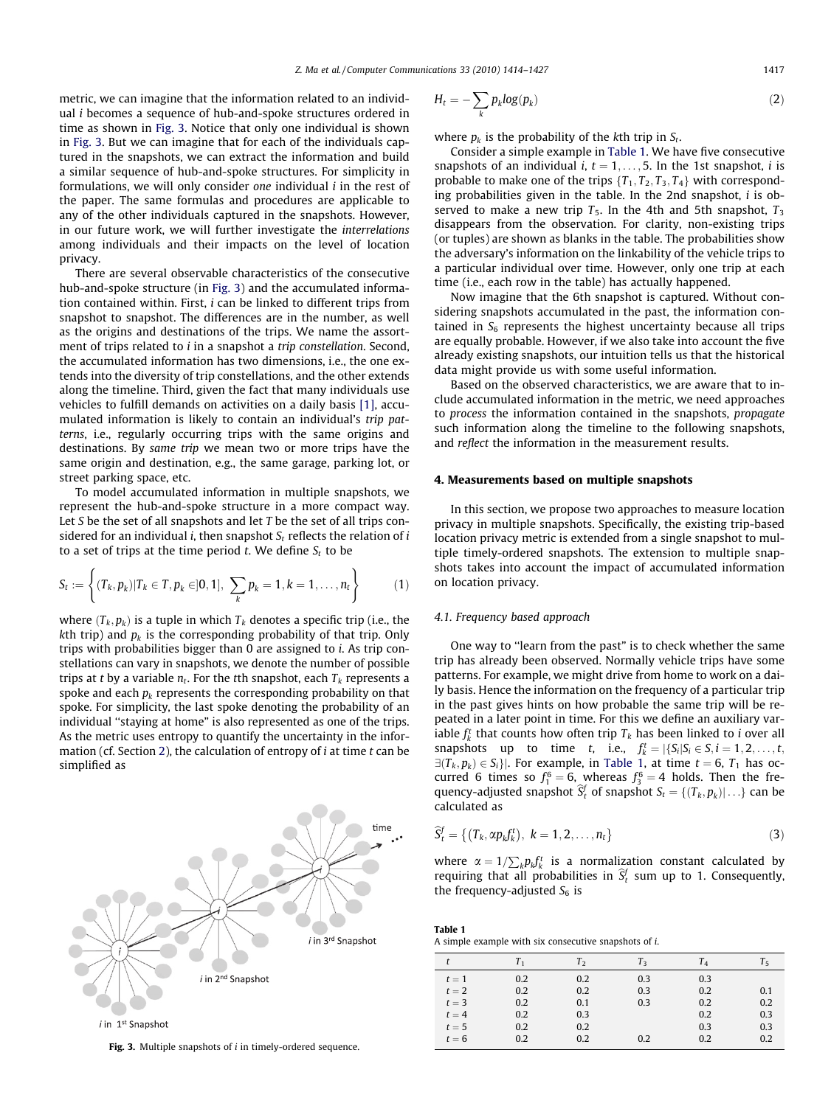<span id="page-3-0"></span>metric, we can imagine that the information related to an individual i becomes a sequence of hub-and-spoke structures ordered in time as shown in Fig. 3. Notice that only one individual is shown in Fig. 3. But we can imagine that for each of the individuals captured in the snapshots, we can extract the information and build a similar sequence of hub-and-spoke structures. For simplicity in formulations, we will only consider one individual  $i$  in the rest of the paper. The same formulas and procedures are applicable to any of the other individuals captured in the snapshots. However, in our future work, we will further investigate the interrelations among individuals and their impacts on the level of location privacy.

There are several observable characteristics of the consecutive hub-and-spoke structure (in Fig. 3) and the accumulated information contained within. First, i can be linked to different trips from snapshot to snapshot. The differences are in the number, as well as the origins and destinations of the trips. We name the assortment of trips related to i in a snapshot a trip constellation. Second, the accumulated information has two dimensions, i.e., the one extends into the diversity of trip constellations, and the other extends along the timeline. Third, given the fact that many individuals use vehicles to fulfill demands on activities on a daily basis [\[1\],](#page-13-0) accumulated information is likely to contain an individual's trip patterns, i.e., regularly occurring trips with the same origins and destinations. By same trip we mean two or more trips have the same origin and destination, e.g., the same garage, parking lot, or street parking space, etc.

To model accumulated information in multiple snapshots, we represent the hub-and-spoke structure in a more compact way. Let S be the set of all snapshots and let  $T$  be the set of all trips considered for an individual *i*, then snapshot  $S_t$  reflects the relation of *i* to a set of trips at the time period  $t$ . We define  $S_t$  to be

$$
S_t := \left\{ (T_k, p_k) | T_k \in T, p_k \in ]0, 1], \sum_k p_k = 1, k = 1, \ldots, n_t \right\}
$$
 (1)

where  $(T_k, p_k)$  is a tuple in which  $T_k$  denotes a specific trip (i.e., the kth trip) and  $p_k$  is the corresponding probability of that trip. Only trips with probabilities bigger than 0 are assigned to i. As trip constellations can vary in snapshots, we denote the number of possible trips at t by a variable  $n_t$ . For the tth snapshot, each  $T_k$  represents a spoke and each  $p_k$  represents the corresponding probability on that spoke. For simplicity, the last spoke denoting the probability of an individual ''staying at home" is also represented as one of the trips. As the metric uses entropy to quantify the uncertainty in the infor-mation (cf. Section [2\)](#page-2-0), the calculation of entropy of  $i$  at time  $t$  can be simplified as



where  $p_k$  is the probability of the kth trip in  $S_t$ .

Consider a simple example in Table 1. We have five consecutive snapshots of an individual *i*,  $t = 1, \ldots, 5$ . In the 1st snapshot, *i* is probable to make one of the trips  $\{T_1, T_2, T_3, T_4\}$  with corresponding probabilities given in the table. In the 2nd snapshot,  $i$  is observed to make a new trip  $T_5$ . In the 4th and 5th snapshot,  $T_3$ disappears from the observation. For clarity, non-existing trips (or tuples) are shown as blanks in the table. The probabilities show the adversary's information on the linkability of the vehicle trips to a particular individual over time. However, only one trip at each time (i.e., each row in the table) has actually happened.

Now imagine that the 6th snapshot is captured. Without considering snapshots accumulated in the past, the information contained in  $S_6$  represents the highest uncertainty because all trips are equally probable. However, if we also take into account the five already existing snapshots, our intuition tells us that the historical data might provide us with some useful information.

Based on the observed characteristics, we are aware that to include accumulated information in the metric, we need approaches to process the information contained in the snapshots, propagate such information along the timeline to the following snapshots, and reflect the information in the measurement results.

#### 4. Measurements based on multiple snapshots

In this section, we propose two approaches to measure location privacy in multiple snapshots. Specifically, the existing trip-based location privacy metric is extended from a single snapshot to multiple timely-ordered snapshots. The extension to multiple snapshots takes into account the impact of accumulated information on location privacy.

#### 4.1. Frequency based approach

One way to ''learn from the past" is to check whether the same trip has already been observed. Normally vehicle trips have some patterns. For example, we might drive from home to work on a daily basis. Hence the information on the frequency of a particular trip in the past gives hints on how probable the same trip will be repeated in a later point in time. For this we define an auxiliary variable  $f_k^t$  that counts how often trip  $T_k$  has been linked to i over all snapshots up to time t, i.e.,  $f_k^t = |\{S_i | S_i \in S, i = 1, 2, \ldots, t\}$  $\exists (T_k, p_k) \in S_i$ . For example, in Table 1, at time  $t = 6$ ,  $T_1$  has occurred 6 times so  $f_1^6 = 6$ , whereas  $f_3^6 = 4$  holds. Then the frequency-adjusted snapshot  $\widehat{S}_t^f$  of snapshot  $S_t = \{(T_k, p_k) | \ldots \}$  can be calculated as

$$
\widehat{S}_t^f = \{ (T_k, \alpha p_k f_k^t), \ k = 1, 2, \dots, n_t \}
$$
\n(3)

where  $\alpha = 1/\sum_{k} p_{k} f_{k}^{t}$  is a normalization constant calculated by requiring that all probabilities in  $\widehat{S}_{t}^{f}$  sum up to 1. Consequently, the frequency-adjusted  $S_6$  is

Table 1 A simple example with six consecutive snapshots of i.

|         | Т1  | T,  | T <sub>3</sub> | $T_{4}$ | T <sub>5</sub> |
|---------|-----|-----|----------------|---------|----------------|
| $t=1$   | 0.2 | 0.2 | 0.3            | 0.3     |                |
| $t=2$   | 0.2 | 0.2 | 0.3            | 0.2     | 0.1            |
| $t = 3$ | 0.2 | 0.1 | 0.3            | 0.2     | 0.2            |
| $t=4$   | 0.2 | 0.3 |                | 0.2     | 0.3            |
| $t=5$   | 0.2 | 0.2 |                | 0.3     | 0.3            |
| $t=6$   | 0.2 | 0.2 | 0.2            | 0.2     | 0.2            |

 $i$  in  $1<sup>st</sup>$  Snapshot

Fig. 3. Multiple snapshots of *i* in timely-ordered sequence.

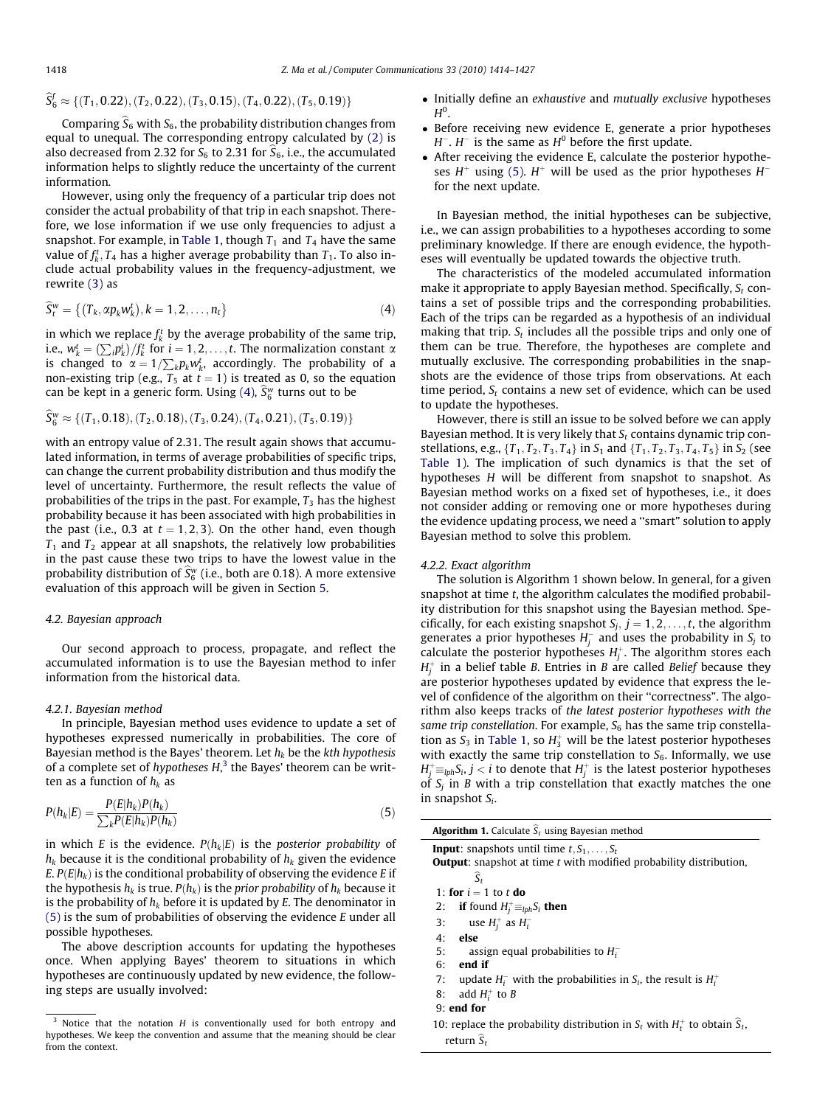<span id="page-4-0"></span> $\widehat{S}_{6}^{f}\approx\{\left(T_{1},0.22\right),\left(T_{2},0.22\right),\left(T_{3},0.15\right),\left(T_{4},0.22\right),\left(T_{5},0.19\right)\}$ 

Comparing  $\hat{S}_6$  with  $S_6$ , the probability distribution changes from equal to unequal. The corresponding entropy calculated by [\(2\)](#page-3-0) is also decreased from 2.32 for  $S_6$  to 2.31 for  $\widehat{S}_6$ , i.e., the accumulated information helps to slightly reduce the uncertainty of the current information.

However, using only the frequency of a particular trip does not consider the actual probability of that trip in each snapshot. Therefore, we lose information if we use only frequencies to adjust a snapshot. For example, in [Table 1,](#page-3-0) though  $T_1$  and  $T_4$  have the same value of  $f_k^t$ ,  $T_4$  has a higher average probability than  $T_1.$  To also include actual probability values in the frequency-adjustment, we rewrite [\(3\)](#page-3-0) as

$$
\widehat{S}_t^w = \left\{ (T_k, \alpha p_k w_k^t), k = 1, 2, \dots, n_t \right\}
$$
 (4)

in which we replace  $f_k^t$  by the average probability of the same trip, i.e.,  $w_k^t = (\sum_i p_k^i)/f_k^t$  for  $i = 1, 2, ..., t$ . The normalization constant  $\alpha$ is changed to  $\alpha = 1/\sum_{k} p_{k}w_{k}^{t}$ , accordingly. The probability of a non-existing trip (e.g.,  $T_5$  at  $t = 1$ ) is treated as 0, so the equation can be kept in a generic form. Using (4),  $\tilde{S}_6^w$  turns out to be

$$
\tilde{S}_6^w \approx \{(T_1, 0.18), (T_2, 0.18), (T_3, 0.24), (T_4, 0.21), (T_5, 0.19)\}
$$

with an entropy value of 2.31. The result again shows that accumulated information, in terms of average probabilities of specific trips, can change the current probability distribution and thus modify the level of uncertainty. Furthermore, the result reflects the value of probabilities of the trips in the past. For example,  $T_3$  has the highest probability because it has been associated with high probabilities in the past (i.e., 0.3 at  $t = 1, 2, 3$ ). On the other hand, even though  $T_1$  and  $T_2$  appear at all snapshots, the relatively low probabilities in the past cause these two trips to have the lowest value in the probability distribution of  $\bar{S}_6^w$  (i.e., both are 0.18). A more extensive evaluation of this approach will be given in Section [5.](#page-5-0)

#### 4.2. Bayesian approach

Our second approach to process, propagate, and reflect the accumulated information is to use the Bayesian method to infer information from the historical data.

#### 4.2.1. Bayesian method

In principle, Bayesian method uses evidence to update a set of hypotheses expressed numerically in probabilities. The core of Bayesian method is the Bayes' theorem. Let  $h_k$  be the kth hypothesis of a complete set of hypotheses  $H<sup>3</sup>$  the Bayes' theorem can be written as a function of  $h_k$  as

$$
P(h_k|E) = \frac{P(E|h_k)P(h_k)}{\sum_k P(E|h_k)P(h_k)}\tag{5}
$$

in which E is the evidence.  $P(h_k|E)$  is the posterior probability of  $h_k$  because it is the conditional probability of  $h_k$  given the evidence E.  $P(E|h_k)$  is the conditional probability of observing the evidence E if the hypothesis  $h_k$  is true.  $P(h_k)$  is the prior probability of  $h_k$  because it is the probability of  $h_k$  before it is updated by E. The denominator in  $(5)$  is the sum of probabilities of observing the evidence E under all possible hypotheses.

The above description accounts for updating the hypotheses once. When applying Bayes' theorem to situations in which hypotheses are continuously updated by new evidence, the following steps are usually involved:

- Initially define an exhaustive and mutually exclusive hypotheses  $H^0$ .
- Before receiving new evidence E, generate a prior hypotheses  $H^-$ .  $H^-$  is the same as  $H^0$  before the first update.
- After receiving the evidence E, calculate the posterior hypotheses  $H^+$  using (5).  $H^+$  will be used as the prior hypotheses  $H^$ for the next update.

In Bayesian method, the initial hypotheses can be subjective, i.e., we can assign probabilities to a hypotheses according to some preliminary knowledge. If there are enough evidence, the hypotheses will eventually be updated towards the objective truth.

The characteristics of the modeled accumulated information make it appropriate to apply Bayesian method. Specifically,  $S_t$  contains a set of possible trips and the corresponding probabilities. Each of the trips can be regarded as a hypothesis of an individual making that trip.  $S_t$  includes all the possible trips and only one of them can be true. Therefore, the hypotheses are complete and mutually exclusive. The corresponding probabilities in the snapshots are the evidence of those trips from observations. At each time period,  $S_t$  contains a new set of evidence, which can be used to update the hypotheses.

However, there is still an issue to be solved before we can apply Bayesian method. It is very likely that  $S_t$  contains dynamic trip constellations, e.g.,  $\{T_1, T_2, T_3, T_4\}$  in  $S_1$  and  $\{T_1, T_2, T_3, T_4, T_5\}$  in  $S_2$  (see [Table 1](#page-3-0)). The implication of such dynamics is that the set of hypotheses H will be different from snapshot to snapshot. As Bayesian method works on a fixed set of hypotheses, i.e., it does not consider adding or removing one or more hypotheses during the evidence updating process, we need a ''smart" solution to apply Bayesian method to solve this problem.

#### 4.2.2. Exact algorithm

The solution is Algorithm 1 shown below. In general, for a given snapshot at time  $t$ , the algorithm calculates the modified probability distribution for this snapshot using the Bayesian method. Specifically, for each existing snapshot  $S_j$ ,  $j = 1, 2, \ldots, t$ , the algorithm generates a prior hypotheses  $H_j^-$  and uses the probability in  $S_j$  to calculate the posterior hypotheses  $H_j^+$ . The algorithm stores each  $H_j^+$  in a belief table B. Entries in B are called Belief because they are posterior hypotheses updated by evidence that express the level of confidence of the algorithm on their ''correctness". The algorithm also keeps tracks of the latest posterior hypotheses with the same trip constellation. For example,  $S_6$  has the same trip constellation as  $S_3$  in [Table 1,](#page-3-0) so  $H_3^+$  will be the latest posterior hypotheses with exactly the same trip constellation to  $S<sub>6</sub>$ . Informally, we use  $H_j^+\!\equiv_{lph}\!\!S_i, j < i$  to denote that  $H_j^+$  is the latest posterior hypotheses of  $S_i$  in B with a trip constellation that exactly matches the one in snapshot  $S_i$ .

| <b>Algorithm 1.</b> Calculate $S_t$ using Bayesian method                        |  |  |  |  |  |  |  |
|----------------------------------------------------------------------------------|--|--|--|--|--|--|--|
| <b>Input:</b> snapshots until time $t, S_1, \ldots, S_t$                         |  |  |  |  |  |  |  |
| <b>Output:</b> snapshot at time t with modified probability distribution,        |  |  |  |  |  |  |  |
| $\widehat{S}_t$                                                                  |  |  |  |  |  |  |  |
| 1: for $i = 1$ to t do                                                           |  |  |  |  |  |  |  |
| 2: <b>if</b> found $H_i^+ \equiv_{lph} S_i$ then                                 |  |  |  |  |  |  |  |
| use $H_i^+$ as $H_i^-$<br>3:                                                     |  |  |  |  |  |  |  |
| 4:<br>else                                                                       |  |  |  |  |  |  |  |
| 5:<br>assign equal probabilities to $H_i^-$                                      |  |  |  |  |  |  |  |
| end if<br>6:                                                                     |  |  |  |  |  |  |  |
| update $H_i^-$ with the probabilities in $S_i$ , the result is $H_i^+$<br>7:     |  |  |  |  |  |  |  |
| add $H_i^+$ to B<br>8:                                                           |  |  |  |  |  |  |  |
| $9:$ end for                                                                     |  |  |  |  |  |  |  |
| 10: replace the probability distribution in $S_t$ with $H_t^+$ to obtain $S_t$ , |  |  |  |  |  |  |  |
| return $\widehat{S}_t$                                                           |  |  |  |  |  |  |  |
|                                                                                  |  |  |  |  |  |  |  |

 $3$  Notice that the notation  $H$  is conventionally used for both entropy and hypotheses. We keep the convention and assume that the meaning should be clear from the context.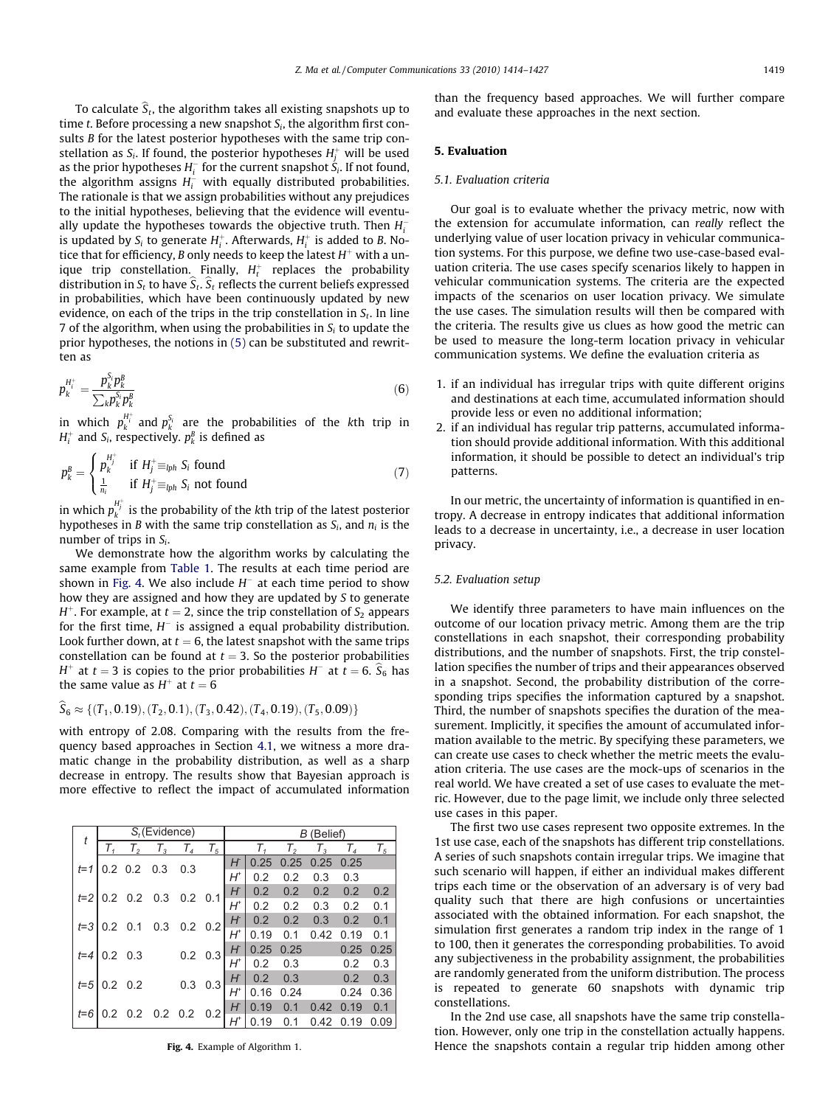<span id="page-5-0"></span>To calculate  $\hat{S}_t$ , the algorithm takes all existing snapshots up to time t. Before processing a new snapshot  $S_i$ , the algorithm first consults B for the latest posterior hypotheses with the same trip constellation as S<sub>i</sub>. If found, the posterior hypotheses  $H_j^+$  will be used as the prior hypotheses  $H_{i}^{-}$  for the current snapshot  $\dot{S}_{i}$ . If not found, the algorithm assigns  $H_i^-$  with equally distributed probabilities. The rationale is that we assign probabilities without any prejudices to the initial hypotheses, believing that the evidence will eventually update the hypotheses towards the objective truth. Then  $H_i^$ is updated by  $S_i$  to generate  $H_i^+$ . Afterwards,  $H_i^+$  is added to B. Notice that for efficiency, B only needs to keep the latest  $H^+$  with a unique trip constellation. Finally,  $H_t^+$  replaces the probability distribution in  $S_t$  to have  $\widehat{S}_t$ ,  $\widehat{S}_t$  reflects the current beliefs expressed in probabilities, which have been continuously updated by new evidence, on each of the trips in the trip constellation in  $S_t$ . In line 7 of the algorithm, when using the probabilities in  $S_i$  to update the prior hypotheses, the notions in [\(5\)](#page-4-0) can be substituted and rewritten as

$$
p_k^{H_i^+} = \frac{p_k^{S_i} p_k^B}{\sum_k p_k^{S_i} p_k^B} \tag{6}
$$

in which  $p_k^{H^+_i}$  and  $p_k^{S_i}$  are the probabilities of the kth trip in  $H_i^+$  and  $S_i$ , respectively.  $p_k^{\mathcal{B}}$  is defined as

$$
p_{k}^{B} = \begin{cases} p_{k}^{H_{j}^{+}} & \text{if } H_{j}^{+} \equiv_{lph} S_{i} \text{ found} \\ \frac{1}{n_{i}} & \text{if } H_{j}^{+} \equiv_{lph} S_{i} \text{ not found} \end{cases}
$$
(7)

in which  $p_{k}^{H_{l}^{+}}$  is the probability of the  $k$ th trip of the latest posterior hypotheses in B with the same trip constellation as  $S_i$ , and  $n_i$  is the number of trips in  $S_i$ .

We demonstrate how the algorithm works by calculating the same example from [Table 1](#page-3-0). The results at each time period are shown in Fig. 4. We also include  $H^-$  at each time period to show how they are assigned and how they are updated by S to generate  $H^+$ . For example, at  $t = 2$ , since the trip constellation of  $S_2$  appears for the first time,  $H^-$  is assigned a equal probability distribution. Look further down, at  $t = 6$ , the latest snapshot with the same trips constellation can be found at  $t = 3$ . So the posterior probabilities  $H^+$  at  $t = 3$  is copies to the prior probabilities  $H^-$  at  $t = 6$ .  $\hat{S}_6$  has the same value as  $H^+$  at  $t = 6$ 

$$
\widehat{S}_6 \approx \{ (T_1, 0.19), (T_2, 0.1), (T_3, 0.42), (T_4, 0.19), (T_5, 0.09) \}
$$

with entropy of 2.08. Comparing with the results from the frequency based approaches in Section [4.1,](#page-3-0) we witness a more dramatic change in the probability distribution, as well as a sharp decrease in entropy. The results show that Bayesian approach is more effective to reflect the impact of accumulated information

| t                          |                 |                 | $S_t$ (Evidence)  |                 |         | B (Belief) |         |      |                 |                 |         |
|----------------------------|-----------------|-----------------|-------------------|-----------------|---------|------------|---------|------|-----------------|-----------------|---------|
|                            | Т.              | Τ,              | $T_3$             | $T_{4}$         | $T_{5}$ |            | $T_{1}$ | Τ,   | $\mathcal{T}_3$ | $\mathcal{T}_4$ | $T_{5}$ |
| $t=1$                      |                 | $0.2 \quad 0.2$ | 0.3               | 0.3             |         | H          | 0.25    | 0.25 | 0.25            | 0.25            |         |
|                            |                 |                 |                   |                 |         | H*         | 0.2     | 0.2  | 0.3             | 0.3             |         |
| $t=2$                      |                 | $0.2 \quad 0.2$ | 0.3               | $0.2 \quad 0.1$ |         | H          | 0.2     | 0.2  | 0.2             | 0.2             | 0.2     |
|                            |                 |                 |                   |                 |         | H*         | 0.2     | 0.2  | 0.3             | 0.2             | 0.1     |
| $t=3$                      | $0.2 \quad 0.1$ |                 | 0.3               | $0.2 \quad 0.2$ |         | H          | 0.2     | 0.2  | 0.3             | 0.2             | 0.1     |
|                            |                 |                 |                   |                 |         | Ht         | 0.19    | 0.1  | 0.42            | 0.19            | 0.1     |
| $t=4$                      |                 | $0.2 \quad 0.3$ |                   | $0.2 \quad 0.3$ |         | H          | 0.25    | 0.25 |                 | 0.25            | 0.25    |
|                            |                 |                 |                   |                 |         |            | 0.2     | 0.3  |                 | 0.2             | 0.3     |
| $0.2 \quad 0.2$<br>$t = 5$ |                 |                 |                   | 0.3             | 0.3     | H          | 0.2     | 0.3  |                 | 0.2             | 0.3     |
|                            |                 |                 |                   |                 |         | Ht         | 0.16    | 0.24 |                 | 0.24            | 0.36    |
| $t=6$                      |                 |                 | $0.2$ 0.2 0.2 0.2 |                 | 0.2     | H          | 0.19    | 0.1  | 0.42            | 0.19            | 0.1     |
|                            |                 |                 |                   |                 |         | H*         | 0.19    | 0.1  | 0.42            | 0.19            | 0.09    |

Fig. 4. Example of Algorithm 1.

than the frequency based approaches. We will further compare and evaluate these approaches in the next section.

#### 5. Evaluation

#### 5.1. Evaluation criteria

Our goal is to evaluate whether the privacy metric, now with the extension for accumulate information, can really reflect the underlying value of user location privacy in vehicular communication systems. For this purpose, we define two use-case-based evaluation criteria. The use cases specify scenarios likely to happen in vehicular communication systems. The criteria are the expected impacts of the scenarios on user location privacy. We simulate the use cases. The simulation results will then be compared with the criteria. The results give us clues as how good the metric can be used to measure the long-term location privacy in vehicular communication systems. We define the evaluation criteria as

- 1. if an individual has irregular trips with quite different origins and destinations at each time, accumulated information should provide less or even no additional information;
- 2. if an individual has regular trip patterns, accumulated information should provide additional information. With this additional information, it should be possible to detect an individual's trip patterns.

In our metric, the uncertainty of information is quantified in entropy. A decrease in entropy indicates that additional information leads to a decrease in uncertainty, i.e., a decrease in user location privacy.

#### 5.2. Evaluation setup

We identify three parameters to have main influences on the outcome of our location privacy metric. Among them are the trip constellations in each snapshot, their corresponding probability distributions, and the number of snapshots. First, the trip constellation specifies the number of trips and their appearances observed in a snapshot. Second, the probability distribution of the corresponding trips specifies the information captured by a snapshot. Third, the number of snapshots specifies the duration of the measurement. Implicitly, it specifies the amount of accumulated information available to the metric. By specifying these parameters, we can create use cases to check whether the metric meets the evaluation criteria. The use cases are the mock-ups of scenarios in the real world. We have created a set of use cases to evaluate the metric. However, due to the page limit, we include only three selected use cases in this paper.

The first two use cases represent two opposite extremes. In the 1st use case, each of the snapshots has different trip constellations. A series of such snapshots contain irregular trips. We imagine that such scenario will happen, if either an individual makes different trips each time or the observation of an adversary is of very bad quality such that there are high confusions or uncertainties associated with the obtained information. For each snapshot, the simulation first generates a random trip index in the range of 1 to 100, then it generates the corresponding probabilities. To avoid any subjectiveness in the probability assignment, the probabilities are randomly generated from the uniform distribution. The process is repeated to generate 60 snapshots with dynamic trip constellations.

In the 2nd use case, all snapshots have the same trip constellation. However, only one trip in the constellation actually happens. Hence the snapshots contain a regular trip hidden among other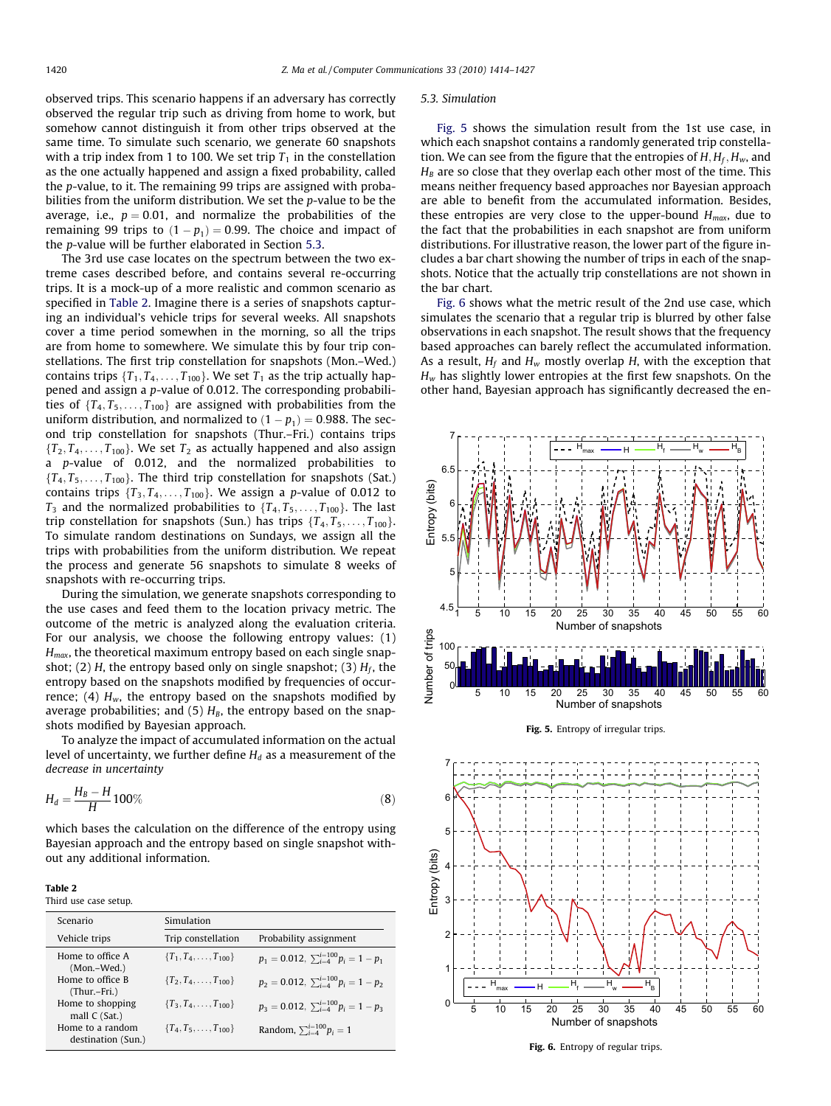<span id="page-6-0"></span>observed trips. This scenario happens if an adversary has correctly observed the regular trip such as driving from home to work, but somehow cannot distinguish it from other trips observed at the same time. To simulate such scenario, we generate 60 snapshots with a trip index from 1 to 100. We set trip  $T_1$  in the constellation as the one actually happened and assign a fixed probability, called the p-value, to it. The remaining 99 trips are assigned with probabilities from the uniform distribution. We set the p-value to be the average, i.e.,  $p = 0.01$ , and normalize the probabilities of the remaining 99 trips to  $(1 - p_1) = 0.99$ . The choice and impact of the p-value will be further elaborated in Section 5.3.

The 3rd use case locates on the spectrum between the two extreme cases described before, and contains several re-occurring trips. It is a mock-up of a more realistic and common scenario as specified in Table 2. Imagine there is a series of snapshots capturing an individual's vehicle trips for several weeks. All snapshots cover a time period somewhen in the morning, so all the trips are from home to somewhere. We simulate this by four trip constellations. The first trip constellation for snapshots (Mon.–Wed.) contains trips  $\{T_1, T_4, \ldots, T_{100}\}$ . We set  $T_1$  as the trip actually happened and assign a p-value of 0.012. The corresponding probabilities of  ${T_4, T_5, \ldots, T_{100}}$  are assigned with probabilities from the uniform distribution, and normalized to  $(1 - p_1) = 0.988$ . The second trip constellation for snapshots (Thur.–Fri.) contains trips  ${T_2, T_4, \ldots, T_{100}}$ . We set  $T_2$  as actually happened and also assign a p-value of 0.012, and the normalized probabilities to  ${T_4, T_5, \ldots, T_{100}}$ . The third trip constellation for snapshots (Sat.) contains trips  ${T_3, T_4, \ldots, T_{100}}$ . We assign a p-value of 0.012 to  $T_3$  and the normalized probabilities to  $\{T_4, T_5, \ldots, T_{100}\}$ . The last trip constellation for snapshots (Sun.) has trips  $\{T_4, T_5, \ldots, T_{100}\}.$ To simulate random destinations on Sundays, we assign all the trips with probabilities from the uniform distribution. We repeat the process and generate 56 snapshots to simulate 8 weeks of snapshots with re-occurring trips.

During the simulation, we generate snapshots corresponding to the use cases and feed them to the location privacy metric. The outcome of the metric is analyzed along the evaluation criteria. For our analysis, we choose the following entropy values: (1)  $H_{max}$ , the theoretical maximum entropy based on each single snapshot; (2) H, the entropy based only on single snapshot; (3)  $H_f$ , the entropy based on the snapshots modified by frequencies of occurrence; (4)  $H_w$ , the entropy based on the snapshots modified by average probabilities; and (5)  $H_B$ , the entropy based on the snapshots modified by Bayesian approach.

To analyze the impact of accumulated information on the actual level of uncertainty, we further define  $H_d$  as a measurement of the decrease in uncertainty

$$
H_d = \frac{H_B - H}{H} 100\% \tag{8}
$$

which bases the calculation on the difference of the entropy using Bayesian approach and the entropy based on single snapshot without any additional information.

#### Table 2

Third use case setup.

| Scenario                               | Simulation                    |                                                    |  |  |  |  |
|----------------------------------------|-------------------------------|----------------------------------------------------|--|--|--|--|
| Vehicle trips                          | Trip constellation            | Probability assignment                             |  |  |  |  |
| Home to office A<br>(Mon.–Wed.)        | ${T_1, T_4, \ldots, T_{100}}$ | $p_1 = 0.012$ , $\sum_{i=4}^{i=100} p_i = 1 - p_1$ |  |  |  |  |
| Home to office B<br>$(Thur-Fri.)$      | ${T_2, T_4, \ldots, T_{100}}$ | $p_2 = 0.012$ , $\sum_{i=4}^{i=100} p_i = 1 - p_2$ |  |  |  |  |
| Home to shopping<br>mall C (Sat.)      | ${T_3, T_4, \ldots, T_{100}}$ | $p_3 = 0.012$ , $\sum_{i=4}^{i=100} p_i = 1 - p_3$ |  |  |  |  |
| Home to a random<br>destination (Sun.) | ${T_4, T_5, \ldots, T_{100}}$ | Random, $\sum_{i=4}^{i=100} p_i = 1$               |  |  |  |  |

#### 5.3. Simulation

Fig. 5 shows the simulation result from the 1st use case, in which each snapshot contains a randomly generated trip constellation. We can see from the figure that the entropies of  $H, H_f, H_w$ , and  $H_B$  are so close that they overlap each other most of the time. This means neither frequency based approaches nor Bayesian approach are able to benefit from the accumulated information. Besides, these entropies are very close to the upper-bound  $H_{max}$ , due to the fact that the probabilities in each snapshot are from uniform distributions. For illustrative reason, the lower part of the figure includes a bar chart showing the number of trips in each of the snapshots. Notice that the actually trip constellations are not shown in the bar chart.

Fig. 6 shows what the metric result of the 2nd use case, which simulates the scenario that a regular trip is blurred by other false observations in each snapshot. The result shows that the frequency based approaches can barely reflect the accumulated information. As a result,  $H_f$  and  $H_w$  mostly overlap H, with the exception that  $H_w$  has slightly lower entropies at the first few snapshots. On the other hand, Bayesian approach has significantly decreased the en-







Fig. 6. Entropy of regular trips.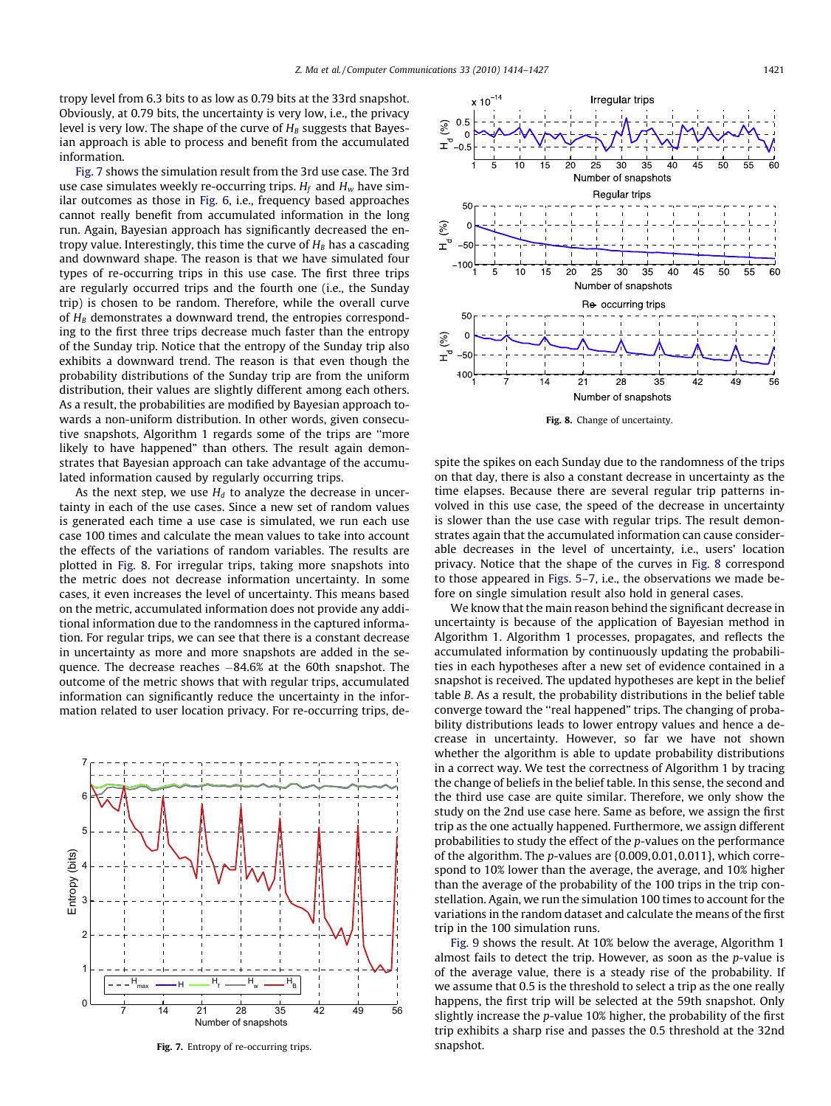tropy level from 6.3 bits to as low as 0.79 bits at the 33rd snapshot. Obviously, at 0.79 bits, the uncertainty is very low, i.e., the privacy level is very low. The shape of the curve of  $H_B$  suggests that Bayesian approach is able to process and benefit from the accumulated information.

Fig. 7 shows the simulation result from the 3rd use case. The 3rd use case simulates weekly re-occurring trips.  $H_f$  and  $H_w$  have similar outcomes as those in [Fig. 6](#page-6-0), i.e., frequency based approaches cannot really benefit from accumulated information in the long run. Again, Bayesian approach has significantly decreased the entropy value. Interestingly, this time the curve of  $H_B$  has a cascading and downward shape. The reason is that we have simulated four types of re-occurring trips in this use case. The first three trips are regularly occurred trips and the fourth one (i.e., the Sunday trip) is chosen to be random. Therefore, while the overall curve of  $H_B$  demonstrates a downward trend, the entropies corresponding to the first three trips decrease much faster than the entropy of the Sunday trip. Notice that the entropy of the Sunday trip also exhibits a downward trend. The reason is that even though the probability distributions of the Sunday trip are from the uniform distribution, their values are slightly different among each others. As a result, the probabilities are modified by Bayesian approach towards a non-uniform distribution. In other words, given consecutive snapshots, Algorithm 1 regards some of the trips are ''more likely to have happened" than others. The result again demonstrates that Bayesian approach can take advantage of the accumulated information caused by regularly occurring trips.

As the next step, we use  $H_d$  to analyze the decrease in uncertainty in each of the use cases. Since a new set of random values is generated each time a use case is simulated, we run each use case 100 times and calculate the mean values to take into account the effects of the variations of random variables. The results are plotted in Fig. 8. For irregular trips, taking more snapshots into the metric does not decrease information uncertainty. In some cases, it even increases the level of uncertainty. This means based on the metric, accumulated information does not provide any additional information due to the randomness in the captured information. For regular trips, we can see that there is a constant decrease in uncertainty as more and more snapshots are added in the sequence. The decrease reaches  $-84.6%$  at the 60th snapshot. The outcome of the metric shows that with regular trips, accumulated information can significantly reduce the uncertainty in the information related to user location privacy. For re-occurring trips, de-



Fig. 7. Entropy of re-occurring trips.



Fig. 8. Change of uncertainty.

spite the spikes on each Sunday due to the randomness of the trips on that day, there is also a constant decrease in uncertainty as the time elapses. Because there are several regular trip patterns involved in this use case, the speed of the decrease in uncertainty is slower than the use case with regular trips. The result demonstrates again that the accumulated information can cause considerable decreases in the level of uncertainty, i.e., users' location privacy. Notice that the shape of the curves in Fig. 8 correspond to those appeared in [Figs. 5–7,](#page-6-0) i.e., the observations we made before on single simulation result also hold in general cases.

We know that the main reason behind the significant decrease in uncertainty is because of the application of Bayesian method in Algorithm 1. Algorithm 1 processes, propagates, and reflects the accumulated information by continuously updating the probabilities in each hypotheses after a new set of evidence contained in a snapshot is received. The updated hypotheses are kept in the belief table B. As a result, the probability distributions in the belief table converge toward the ''real happened" trips. The changing of probability distributions leads to lower entropy values and hence a decrease in uncertainty. However, so far we have not shown whether the algorithm is able to update probability distributions in a correct way. We test the correctness of Algorithm 1 by tracing the change of beliefs in the belief table. In this sense, the second and the third use case are quite similar. Therefore, we only show the study on the 2nd use case here. Same as before, we assign the first trip as the one actually happened. Furthermore, we assign different probabilities to study the effect of the p-values on the performance of the algorithm. The p-values are {0.009,0.01, 0.011}, which correspond to 10% lower than the average, the average, and 10% higher than the average of the probability of the 100 trips in the trip constellation. Again, we run the simulation 100 times to account for the variations in the random dataset and calculate the means of the first trip in the 100 simulation runs.

[Fig. 9](#page-8-0) shows the result. At 10% below the average, Algorithm 1 almost fails to detect the trip. However, as soon as the p-value is of the average value, there is a steady rise of the probability. If we assume that 0.5 is the threshold to select a trip as the one really happens, the first trip will be selected at the 59th snapshot. Only slightly increase the p-value 10% higher, the probability of the first trip exhibits a sharp rise and passes the 0.5 threshold at the 32nd snapshot.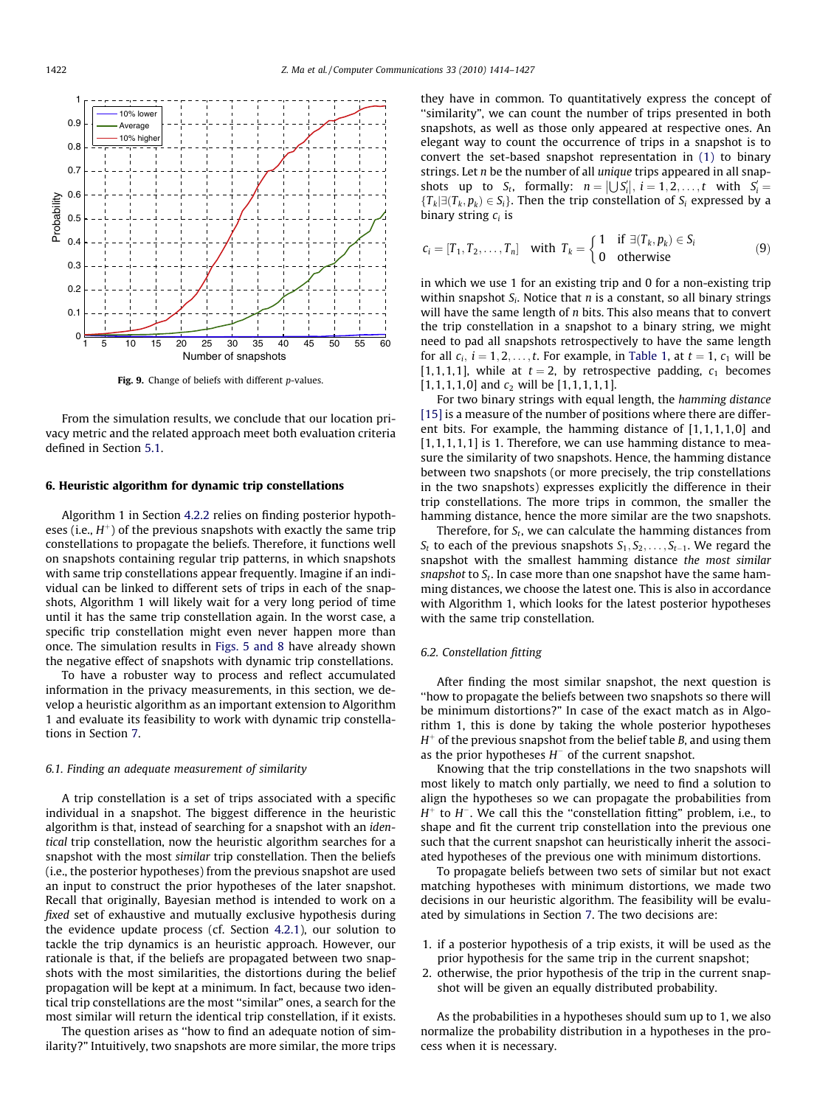<span id="page-8-0"></span>

Fig. 9. Change of beliefs with different *p*-values.

From the simulation results, we conclude that our location privacy metric and the related approach meet both evaluation criteria defined in Section [5.1](#page-5-0).

#### 6. Heuristic algorithm for dynamic trip constellations

Algorithm 1 in Section [4.2.2](#page-4-0) relies on finding posterior hypotheses (i.e.,  $H^+$ ) of the previous snapshots with exactly the same trip constellations to propagate the beliefs. Therefore, it functions well on snapshots containing regular trip patterns, in which snapshots with same trip constellations appear frequently. Imagine if an individual can be linked to different sets of trips in each of the snapshots, Algorithm 1 will likely wait for a very long period of time until it has the same trip constellation again. In the worst case, a specific trip constellation might even never happen more than once. The simulation results in [Figs. 5 and 8](#page-6-0) have already shown the negative effect of snapshots with dynamic trip constellations.

To have a robuster way to process and reflect accumulated information in the privacy measurements, in this section, we develop a heuristic algorithm as an important extension to Algorithm 1 and evaluate its feasibility to work with dynamic trip constellations in Section [7](#page-9-0).

#### 6.1. Finding an adequate measurement of similarity

A trip constellation is a set of trips associated with a specific individual in a snapshot. The biggest difference in the heuristic algorithm is that, instead of searching for a snapshot with an identical trip constellation, now the heuristic algorithm searches for a snapshot with the most similar trip constellation. Then the beliefs (i.e., the posterior hypotheses) from the previous snapshot are used an input to construct the prior hypotheses of the later snapshot. Recall that originally, Bayesian method is intended to work on a fixed set of exhaustive and mutually exclusive hypothesis during the evidence update process (cf. Section [4.2.1](#page-4-0)), our solution to tackle the trip dynamics is an heuristic approach. However, our rationale is that, if the beliefs are propagated between two snapshots with the most similarities, the distortions during the belief propagation will be kept at a minimum. In fact, because two identical trip constellations are the most ''similar" ones, a search for the most similar will return the identical trip constellation, if it exists.

The question arises as ''how to find an adequate notion of similarity?" Intuitively, two snapshots are more similar, the more trips they have in common. To quantitatively express the concept of ''similarity", we can count the number of trips presented in both snapshots, as well as those only appeared at respective ones. An elegant way to count the occurrence of trips in a snapshot is to convert the set-based snapshot representation in [\(1\)](#page-3-0) to binary strings. Let  $n$  be the number of all *unique* trips appeared in all snapshots up to  $S_t$ , formally:  $n = |\bigcup S'_t|$ ,  $i = 1, 2, ..., t$  with  $S'_i =$  ${T_k|\exists (T_k, p_k) \in S_i}$ . Then the trip constellation of  $S_i$  expressed by a binary string  $c_i$  is

$$
c_i = [T_1, T_2, \dots, T_n] \quad \text{with } T_k = \begin{cases} 1 & \text{if } \exists (T_k, p_k) \in S_i \\ 0 & \text{otherwise} \end{cases} \tag{9}
$$

in which we use 1 for an existing trip and 0 for a non-existing trip within snapshot  $S_i$ . Notice that *n* is a constant, so all binary strings will have the same length of  $n$  bits. This also means that to convert the trip constellation in a snapshot to a binary string, we might need to pad all snapshots retrospectively to have the same length for all  $c_i$ ,  $i = 1, 2, \ldots, t$ . For example, in [Table 1,](#page-3-0) at  $t = 1$ ,  $c_1$  will be [1,1,1,1], while at  $t = 2$ , by retrospective padding,  $c_1$  becomes  $[1,1,1,1,0]$  and  $c_2$  will be  $[1,1,1,1,1]$ .

For two binary strings with equal length, the hamming distance [\[15\]](#page-13-0) is a measure of the number of positions where there are different bits. For example, the hamming distance of [1, 1,1,1, 0] and [1,1,1,1,1] is 1. Therefore, we can use hamming distance to measure the similarity of two snapshots. Hence, the hamming distance between two snapshots (or more precisely, the trip constellations in the two snapshots) expresses explicitly the difference in their trip constellations. The more trips in common, the smaller the hamming distance, hence the more similar are the two snapshots.

Therefore, for  $S_t$ , we can calculate the hamming distances from  $S_t$  to each of the previous snapshots  $S_1, S_2, \ldots, S_{t-1}$ . We regard the snapshot with the smallest hamming distance the most similar snapshot to  $S_t$ . In case more than one snapshot have the same hamming distances, we choose the latest one. This is also in accordance with Algorithm 1, which looks for the latest posterior hypotheses with the same trip constellation.

#### 6.2. Constellation fitting

After finding the most similar snapshot, the next question is ''how to propagate the beliefs between two snapshots so there will be minimum distortions?" In case of the exact match as in Algorithm 1, this is done by taking the whole posterior hypotheses  $H^+$  of the previous snapshot from the belief table B, and using them as the prior hypotheses  $H^-$  of the current snapshot.

Knowing that the trip constellations in the two snapshots will most likely to match only partially, we need to find a solution to align the hypotheses so we can propagate the probabilities from  $H^+$  to  $H^-$ . We call this the "constellation fitting" problem, i.e., to shape and fit the current trip constellation into the previous one such that the current snapshot can heuristically inherit the associated hypotheses of the previous one with minimum distortions.

To propagate beliefs between two sets of similar but not exact matching hypotheses with minimum distortions, we made two decisions in our heuristic algorithm. The feasibility will be evaluated by simulations in Section [7](#page-9-0). The two decisions are:

- 1. if a posterior hypothesis of a trip exists, it will be used as the prior hypothesis for the same trip in the current snapshot;
- 2. otherwise, the prior hypothesis of the trip in the current snapshot will be given an equally distributed probability.

As the probabilities in a hypotheses should sum up to 1, we also normalize the probability distribution in a hypotheses in the process when it is necessary.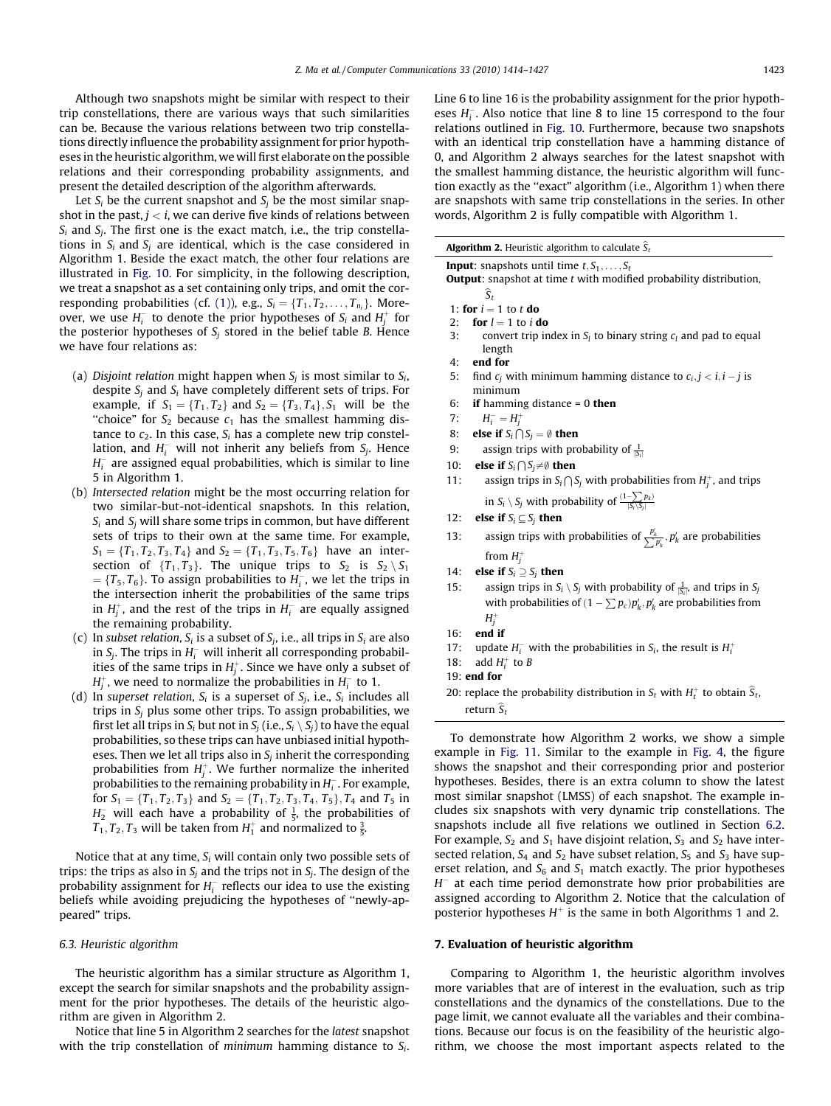<span id="page-9-0"></span>Although two snapshots might be similar with respect to their trip constellations, there are various ways that such similarities can be. Because the various relations between two trip constellations directly influence the probability assignment for prior hypotheses in the heuristic algorithm, we will first elaborate on the possible relations and their corresponding probability assignments, and present the detailed description of the algorithm afterwards.

Let  $S_i$  be the current snapshot and  $S_i$  be the most similar snapshot in the past,  $j < i$ , we can derive five kinds of relations between  $S_i$  and  $S_i$ . The first one is the exact match, i.e., the trip constellations in  $S_i$  and  $S_j$  are identical, which is the case considered in Algorithm 1. Beside the exact match, the other four relations are illustrated in [Fig. 10](#page-10-0). For simplicity, in the following description, we treat a snapshot as a set containing only trips, and omit the cor-responding probabilities (cf. [\(1\)](#page-3-0)), e.g.,  $S_i = \{T_1, T_2, \ldots, T_{n_i}\}$ . Moreover, we use  $H_i^-$  to denote the prior hypotheses of  $S_i$  and  $H_j^+$  for the posterior hypotheses of  $S_i$  stored in the belief table B. Hence we have four relations as:

- (a) Disjoint relation might happen when  $S_i$  is most similar to  $S_i$ , despite  $S_i$  and  $S_i$  have completely different sets of trips. For example, if  $S_1 = \{T_1, T_2\}$  and  $S_2 = \{T_3, T_4\}$ ,  $S_1$  will be the "choice" for  $S_2$  because  $c_1$  has the smallest hamming distance to  $c_2$ . In this case,  $S_i$  has a complete new trip constellation, and  $H_i^-$  will not inherit any beliefs from  $S_j$ . Hence  $H_i^-$  are assigned equal probabilities, which is similar to line 5 in Algorithm 1.
- (b) Intersected relation might be the most occurring relation for two similar-but-not-identical snapshots. In this relation,  $S_i$  and  $S_i$  will share some trips in common, but have different sets of trips to their own at the same time. For example,  $S_1 = \{T_1, T_2, T_3, T_4\}$  and  $S_2 = \{T_1, T_3, T_5, T_6\}$  have an intersection of  ${T_1, T_3}$ . The unique trips to  $S_2$  is  $S_2 \setminus S_1$  $=$  {T<sub>5</sub>, T<sub>6</sub>}. To assign probabilities to  $H_i^-$ , we let the trips in the intersection inherit the probabilities of the same trips in  $H_j^+$ , and the rest of the trips in  $H_i^-$  are equally assigned the remaining probability.
- (c) In subset relation,  $S_i$  is a subset of  $S_i$ , i.e., all trips in  $S_i$  are also in  $S_j$ . The trips in  $H_i^-$  will inherit all corresponding probabilities of the same trips in  $H_j^+$ . Since we have only a subset of  $H_j^+$ , we need to normalize the probabilities in  $H_i^-$  to 1.
- (d) In superset relation,  $S_i$  is a superset of  $S_i$ , i.e.,  $S_i$  includes all trips in  $S_i$  plus some other trips. To assign probabilities, we first let all trips in  $S_i$  but not in  $S_i$  (i.e.,  $S_i \setminus S_j$ ) to have the equal probabilities, so these trips can have unbiased initial hypotheses. Then we let all trips also in  $S_i$  inherit the corresponding probabilities from  $H_j^+$ . We further normalize the inherited probabilities to the remaining probability in  $H_i^{\pm}$  . For example, for  $S_1 = \{T_1, T_2, T_3\}$  and  $S_2 = \{T_1, T_2, T_3, T_4, T_5\}$ ,  $T_4$  and  $T_5$  in  $H_2^-$  will each have a probability of  $\frac{1}{5}$ , the probabilities of  $T_1, T_2, T_3$  will be taken from  $H_1^+$  and normalized to  $\frac{3}{5}$ .

Notice that at any time,  $S_i$  will contain only two possible sets of trips: the trips as also in  $S_i$  and the trips not in  $S_i$ . The design of the probability assignment for  $H_i^-$  reflects our idea to use the existing beliefs while avoiding prejudicing the hypotheses of ''newly-appeared" trips.

#### 6.3. Heuristic algorithm

The heuristic algorithm has a similar structure as Algorithm 1, except the search for similar snapshots and the probability assignment for the prior hypotheses. The details of the heuristic algorithm are given in Algorithm 2.

Notice that line 5 in Algorithm 2 searches for the latest snapshot with the trip constellation of minimum hamming distance to  $S_i$ . Line 6 to line 16 is the probability assignment for the prior hypotheses  $H_i^-$ . Also notice that line 8 to line 15 correspond to the four relations outlined in [Fig. 10](#page-10-0). Furthermore, because two snapshots with an identical trip constellation have a hamming distance of 0, and Algorithm 2 always searches for the latest snapshot with the smallest hamming distance, the heuristic algorithm will function exactly as the ''exact" algorithm (i.e., Algorithm 1) when there are snapshots with same trip constellations in the series. In other words, Algorithm 2 is fully compatible with Algorithm 1.

|     | <b>Input:</b> snapshots until time $t, S_1, \ldots, S_t$                                       |
|-----|------------------------------------------------------------------------------------------------|
|     | <b>Output:</b> snapshot at time t with modified probability distribution,                      |
|     | ŝ.                                                                                             |
|     | 1: for $i = 1$ to t do                                                                         |
| 2:  | for $l = 1$ to i do                                                                            |
| 3:  | convert trip index in $S_l$ to binary string $c_l$ and pad to equal<br>length                  |
| 4:  | end for                                                                                        |
| 5:  | find $c_j$ with minimum hamming distance to $c_i, j < i, i - j$ is<br>minimum                  |
| 6:  | <b>if</b> hamming distance $= 0$ then                                                          |
| 7:  | $H_{i}^{-} = H_{i}^{+}$                                                                        |
| 8:  | else if $S_i \cap S_j = \emptyset$ then                                                        |
| 9:  | assign trips with probability of $\frac{1}{ S_i }$                                             |
| 10: | else if $S_i \bigcap S_j \neq \emptyset$ then                                                  |
| 11: | assign trips in $S_i \cap S_j$ with probabilities from $H_j^+$ , and trips                     |
|     | in $S_i \setminus S_j$ with probability of $\frac{(1-\sum p_k)}{ S_i \setminus S_i }$          |
| 12: | else if $S_i \subseteq S_i$ then                                                               |
| 13: | assign trips with probabilities of $\frac{p'_k}{\sum p'_k}$ , $p'_k$ are probabilities         |
|     | from $H_i^+$                                                                                   |
| 14: | else if $S_i \supseteq S_j$ then                                                               |
| 15: | assign trips in $S_i \setminus S_j$ with probability of $\frac{1}{ S_i }$ , and trips in $S_j$ |
|     | with probabilities of $(1 - \sum p_c)p'_k, p'_k$ are probabilities from                        |
|     | $H_i^+$                                                                                        |
| 16: | end if                                                                                         |
| 17: | update $H_i^-$ with the probabilities in $S_i$ , the result is $H_i^+$                         |
| 18: | add $H_i^+$ to B                                                                               |
|     | $19:$ end for                                                                                  |
|     | 20: replace the probability distribution in $S_t$ with $H_t^+$ to obtain $\widehat{S}_t$ ,     |
|     | return $\widehat{S}_t$                                                                         |

To demonstrate how Algorithm 2 works, we show a simple example in [Fig. 11](#page-10-0). Similar to the example in [Fig. 4,](#page-5-0) the figure shows the snapshot and their corresponding prior and posterior hypotheses. Besides, there is an extra column to show the latest most similar snapshot (LMSS) of each snapshot. The example includes six snapshots with very dynamic trip constellations. The snapshots include all five relations we outlined in Section [6.2.](#page-8-0) For example,  $S_2$  and  $S_1$  have disjoint relation,  $S_3$  and  $S_2$  have intersected relation,  $S_4$  and  $S_2$  have subset relation,  $S_5$  and  $S_3$  have superset relation, and  $S_6$  and  $S_1$  match exactly. The prior hypotheses  $H^-$  at each time period demonstrate how prior probabilities are assigned according to Algorithm 2. Notice that the calculation of posterior hypotheses  $H^+$  is the same in both Algorithms 1 and 2.

#### 7. Evaluation of heuristic algorithm

Comparing to Algorithm 1, the heuristic algorithm involves more variables that are of interest in the evaluation, such as trip constellations and the dynamics of the constellations. Due to the page limit, we cannot evaluate all the variables and their combinations. Because our focus is on the feasibility of the heuristic algorithm, we choose the most important aspects related to the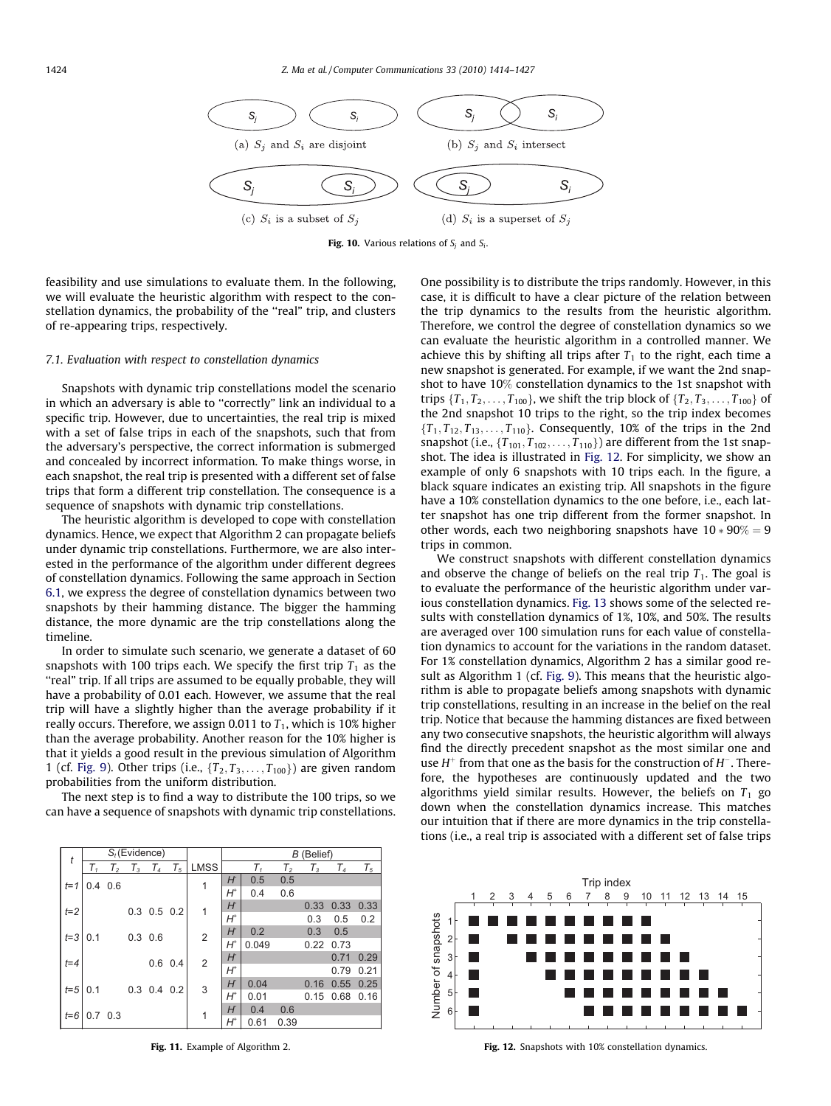<span id="page-10-0"></span>

**Fig. 10.** Various relations of  $S_i$  and  $S_i$ .

feasibility and use simulations to evaluate them. In the following, we will evaluate the heuristic algorithm with respect to the constellation dynamics, the probability of the ''real" trip, and clusters of re-appearing trips, respectively.

#### 7.1. Evaluation with respect to constellation dynamics

Snapshots with dynamic trip constellations model the scenario in which an adversary is able to ''correctly" link an individual to a specific trip. However, due to uncertainties, the real trip is mixed with a set of false trips in each of the snapshots, such that from the adversary's perspective, the correct information is submerged and concealed by incorrect information. To make things worse, in each snapshot, the real trip is presented with a different set of false trips that form a different trip constellation. The consequence is a sequence of snapshots with dynamic trip constellations.

The heuristic algorithm is developed to cope with constellation dynamics. Hence, we expect that Algorithm 2 can propagate beliefs under dynamic trip constellations. Furthermore, we are also interested in the performance of the algorithm under different degrees of constellation dynamics. Following the same approach in Section [6.1](#page-8-0), we express the degree of constellation dynamics between two snapshots by their hamming distance. The bigger the hamming distance, the more dynamic are the trip constellations along the timeline.

In order to simulate such scenario, we generate a dataset of 60 snapshots with 100 trips each. We specify the first trip  $T_1$  as the ''real" trip. If all trips are assumed to be equally probable, they will have a probability of 0.01 each. However, we assume that the real trip will have a slightly higher than the average probability if it really occurs. Therefore, we assign 0.011 to  $T_1$ , which is 10% higher than the average probability. Another reason for the 10% higher is that it yields a good result in the previous simulation of Algorithm 1 (cf. [Fig. 9](#page-8-0)). Other trips (i.e.,  ${T_2, T_3, ..., T_{100}}$ ) are given random probabilities from the uniform distribution.

The next step is to find a way to distribute the 100 trips, so we can have a sequence of snapshots with dynamic trip constellations.

| $S_t$ (Evidence) |                 |           |             |               |             |                | B (Belief) |       |      |       |         |                                |
|------------------|-----------------|-----------|-------------|---------------|-------------|----------------|------------|-------|------|-------|---------|--------------------------------|
| t                |                 |           |             |               |             |                |            |       |      |       |         |                                |
|                  | Т,              |           | $T_2$ $T_3$ |               | $T_4$ $T_5$ | <b>LMSS</b>    |            | Т,    | Τ,   | $T_3$ | $T_{4}$ | $\overline{T}_{\underline{5}}$ |
| $t=1$            |                 | $0.4$ 0.6 |             |               |             |                | H          | 0.5   | 0.5  |       |         |                                |
|                  |                 |           |             |               |             |                | H          | 0.4   | 0.6  |       |         |                                |
|                  |                 |           |             | $0.3$ 0.5 0.2 |             | $\mathbf{1}$   | H          |       |      | 0.33  | 0.33    | 0.33                           |
| $t=2$            |                 |           |             |               |             |                | $H^*$      |       |      | 0.3   | 0.5     | 0.2                            |
| $t = 3$          | 0.1             |           |             | $0.3$ 0.6     |             | $\overline{2}$ | H          | 0.2   |      | 0.3   | 0.5     |                                |
|                  |                 |           |             |               |             |                | $H^*$      | 0.049 |      | 0.22  | 0.73    |                                |
| $t = 4$          |                 |           |             | $0.6$ 0.4     |             |                | $H^*$      |       |      |       | 0.71    | 0.29                           |
|                  |                 |           |             |               |             | $\overline{2}$ | $H^*$      |       |      |       | 0.79    | 0.21                           |
| $t = 5$          | 0.1             |           |             | $0.3$ 0.4 0.2 |             | 3              | H          | 0.04  |      | 0.16  | 0.55    | 0.25                           |
|                  |                 |           |             |               |             |                | H          | 0.01  |      | 0.15  | 0.68    | 0.16                           |
| $t=6$            | $0.7 \quad 0.3$ |           |             |               |             | 1              | H          | 0.4   | 0.6  |       |         |                                |
|                  |                 |           |             |               |             |                | H          | 0.61  | 0.39 |       |         |                                |

Fig. 11. Example of Algorithm 2.

One possibility is to distribute the trips randomly. However, in this case, it is difficult to have a clear picture of the relation between the trip dynamics to the results from the heuristic algorithm. Therefore, we control the degree of constellation dynamics so we can evaluate the heuristic algorithm in a controlled manner. We achieve this by shifting all trips after  $T_1$  to the right, each time a new snapshot is generated. For example, if we want the 2nd snapshot to have 10% constellation dynamics to the 1st snapshot with trips  $\{T_1, T_2, \ldots, T_{100}\}$ , we shift the trip block of  $\{T_2, T_3, \ldots, T_{100}\}$  of the 2nd snapshot 10 trips to the right, so the trip index becomes  ${T_1, T_{12}, T_{13}, \ldots, T_{110}}$ . Consequently, 10% of the trips in the 2nd snapshot (i.e.,  $\{T_{101}, T_{102}, \ldots, T_{110}\}$ ) are different from the 1st snapshot. The idea is illustrated in Fig. 12. For simplicity, we show an example of only 6 snapshots with 10 trips each. In the figure, a black square indicates an existing trip. All snapshots in the figure have a 10% constellation dynamics to the one before, i.e., each latter snapshot has one trip different from the former snapshot. In other words, each two neighboring snapshots have  $10 * 90\% = 9$ trips in common.

We construct snapshots with different constellation dynamics and observe the change of beliefs on the real trip  $T_1$ . The goal is to evaluate the performance of the heuristic algorithm under various constellation dynamics. [Fig. 13](#page-11-0) shows some of the selected results with constellation dynamics of 1%, 10%, and 50%. The results are averaged over 100 simulation runs for each value of constellation dynamics to account for the variations in the random dataset. For 1% constellation dynamics, Algorithm 2 has a similar good result as Algorithm 1 (cf. [Fig. 9\)](#page-8-0). This means that the heuristic algorithm is able to propagate beliefs among snapshots with dynamic trip constellations, resulting in an increase in the belief on the real trip. Notice that because the hamming distances are fixed between any two consecutive snapshots, the heuristic algorithm will always find the directly precedent snapshot as the most similar one and use  $H^+$  from that one as the basis for the construction of  $H^-$ . Therefore, the hypotheses are continuously updated and the two algorithms yield similar results. However, the beliefs on  $T_1$  go down when the constellation dynamics increase. This matches our intuition that if there are more dynamics in the trip constellations (i.e., a real trip is associated with a different set of false trips



Fig. 12. Snapshots with 10% constellation dynamics.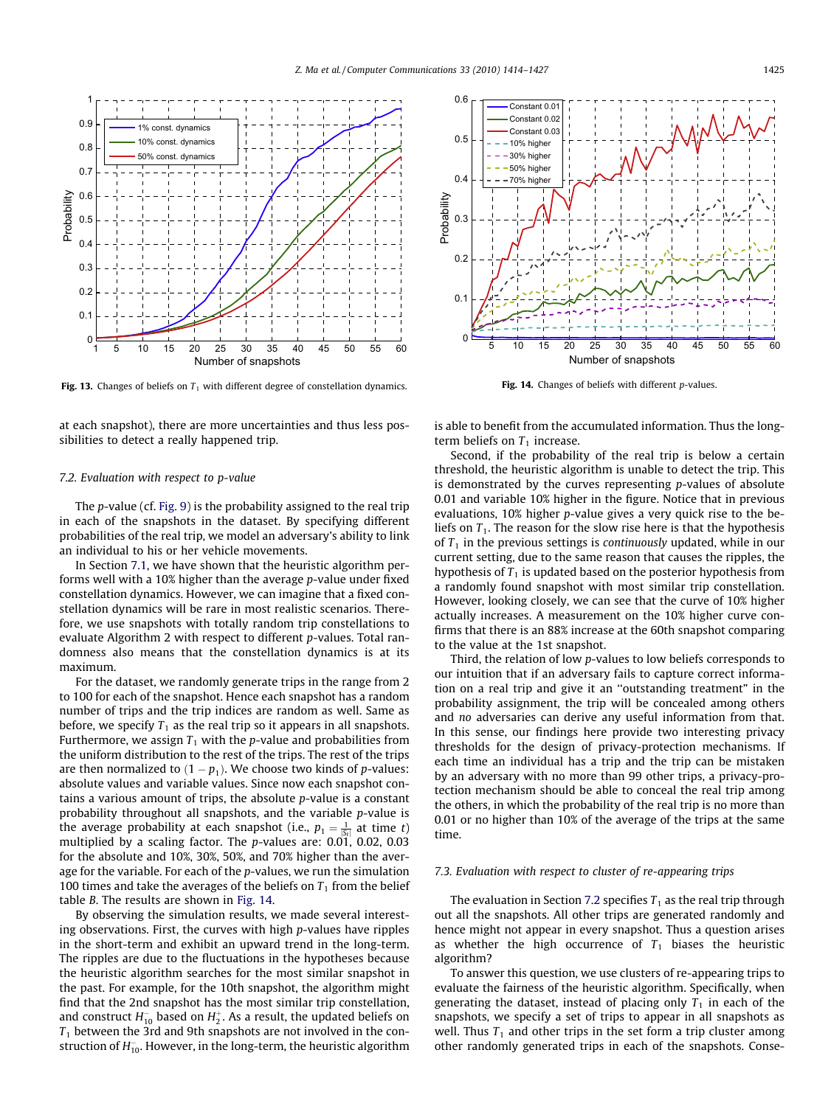

1% const. dynamics

Fig. 13. Changes of beliefs on  $T_1$  with different degree of constellation dynamics.

at each snapshot), there are more uncertainties and thus less possibilities to detect a really happened trip.

#### 7.2. Evaluation with respect to p-value

<span id="page-11-0"></span>0.9 1

The p-value (cf. [Fig. 9\)](#page-8-0) is the probability assigned to the real trip in each of the snapshots in the dataset. By specifying different probabilities of the real trip, we model an adversary's ability to link an individual to his or her vehicle movements.

In Section [7.1](#page-10-0), we have shown that the heuristic algorithm performs well with a 10% higher than the average p-value under fixed constellation dynamics. However, we can imagine that a fixed constellation dynamics will be rare in most realistic scenarios. Therefore, we use snapshots with totally random trip constellations to evaluate Algorithm 2 with respect to different p-values. Total randomness also means that the constellation dynamics is at its maximum.

For the dataset, we randomly generate trips in the range from 2 to 100 for each of the snapshot. Hence each snapshot has a random number of trips and the trip indices are random as well. Same as before, we specify  $T_1$  as the real trip so it appears in all snapshots. Furthermore, we assign  $T_1$  with the p-value and probabilities from the uniform distribution to the rest of the trips. The rest of the trips are then normalized to  $(1 - p_1)$ . We choose two kinds of p-values: absolute values and variable values. Since now each snapshot contains a various amount of trips, the absolute  $p$ -value is a constant probability throughout all snapshots, and the variable p-value is the average probability at each snapshot (i.e.,  $p_1 = \frac{1}{|S_t|}$  at time t) multiplied by a scaling factor. The p-values are: 0.01, 0.02, 0.03 for the absolute and 10%, 30%, 50%, and 70% higher than the average for the variable. For each of the p-values, we run the simulation 100 times and take the averages of the beliefs on  $T_1$  from the belief table B. The results are shown in Fig. 14.

By observing the simulation results, we made several interesting observations. First, the curves with high p-values have ripples in the short-term and exhibit an upward trend in the long-term. The ripples are due to the fluctuations in the hypotheses because the heuristic algorithm searches for the most similar snapshot in the past. For example, for the 10th snapshot, the algorithm might find that the 2nd snapshot has the most similar trip constellation, and construct  $H_{10}^-$  based on  $H_2^+$ . As a result, the updated beliefs on  $T_1$  between the 3rd and 9th snapshots are not involved in the construction of  $H_{10}^-$ . However, in the long-term, the heuristic algorithm



Fig. 14. Changes of beliefs with different p-values.

is able to benefit from the accumulated information. Thus the longterm beliefs on  $T_1$  increase.

Second, if the probability of the real trip is below a certain threshold, the heuristic algorithm is unable to detect the trip. This is demonstrated by the curves representing  $p$ -values of absolute 0.01 and variable 10% higher in the figure. Notice that in previous evaluations, 10% higher p-value gives a very quick rise to the beliefs on  $T_1$ . The reason for the slow rise here is that the hypothesis of  $T_1$  in the previous settings is continuously updated, while in our current setting, due to the same reason that causes the ripples, the hypothesis of  $T_1$  is updated based on the posterior hypothesis from a randomly found snapshot with most similar trip constellation. However, looking closely, we can see that the curve of 10% higher actually increases. A measurement on the 10% higher curve confirms that there is an 88% increase at the 60th snapshot comparing to the value at the 1st snapshot.

Third, the relation of low p-values to low beliefs corresponds to our intuition that if an adversary fails to capture correct information on a real trip and give it an ''outstanding treatment" in the probability assignment, the trip will be concealed among others and no adversaries can derive any useful information from that. In this sense, our findings here provide two interesting privacy thresholds for the design of privacy-protection mechanisms. If each time an individual has a trip and the trip can be mistaken by an adversary with no more than 99 other trips, a privacy-protection mechanism should be able to conceal the real trip among the others, in which the probability of the real trip is no more than 0.01 or no higher than 10% of the average of the trips at the same time.

#### 7.3. Evaluation with respect to cluster of re-appearing trips

The evaluation in Section 7.2 specifies  $T_1$  as the real trip through out all the snapshots. All other trips are generated randomly and hence might not appear in every snapshot. Thus a question arises as whether the high occurrence of  $T_1$  biases the heuristic algorithm?

To answer this question, we use clusters of re-appearing trips to evaluate the fairness of the heuristic algorithm. Specifically, when generating the dataset, instead of placing only  $T_1$  in each of the snapshots, we specify a set of trips to appear in all snapshots as well. Thus  $T_1$  and other trips in the set form a trip cluster among other randomly generated trips in each of the snapshots. Conse-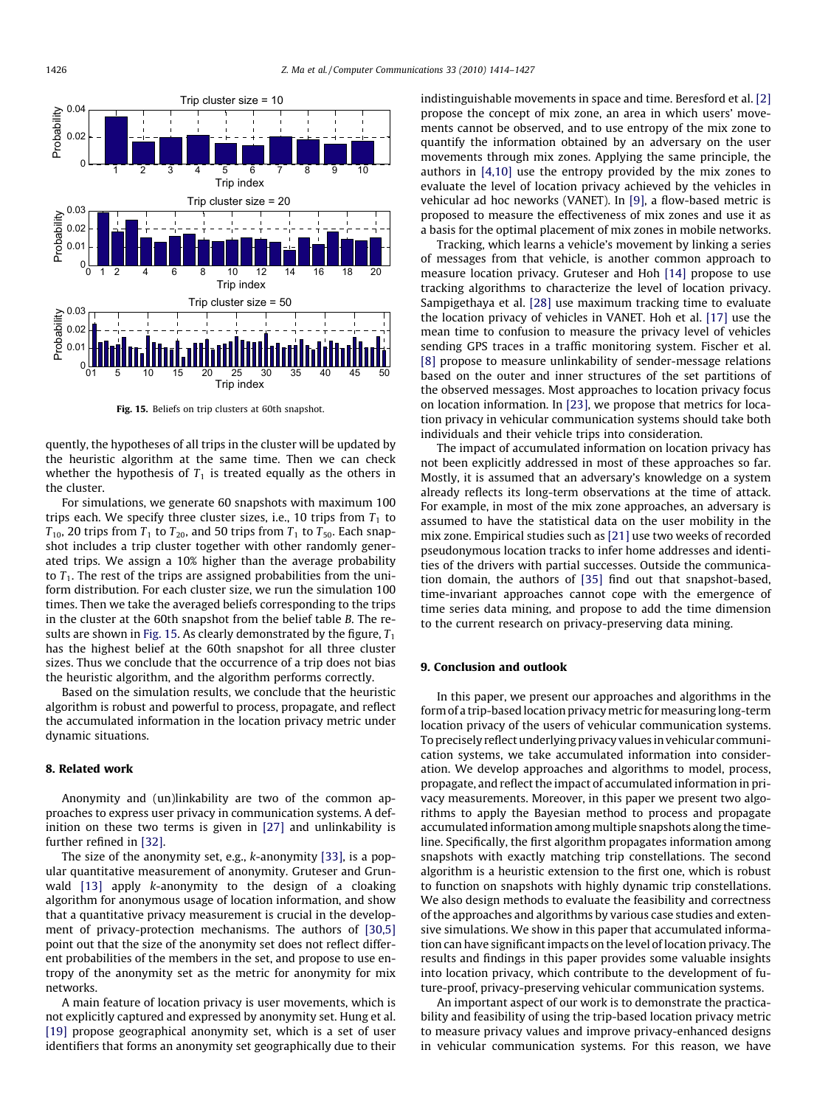<span id="page-12-0"></span>

Fig. 15. Beliefs on trip clusters at 60th snapshot.

quently, the hypotheses of all trips in the cluster will be updated by the heuristic algorithm at the same time. Then we can check whether the hypothesis of  $T_1$  is treated equally as the others in the cluster.

For simulations, we generate 60 snapshots with maximum 100 trips each. We specify three cluster sizes, i.e., 10 trips from  $T_1$  to  $T_{10}$ , 20 trips from  $T_1$  to  $T_{20}$ , and 50 trips from  $T_1$  to  $T_{50}$ . Each snapshot includes a trip cluster together with other randomly generated trips. We assign a 10% higher than the average probability to  $T_1$ . The rest of the trips are assigned probabilities from the uniform distribution. For each cluster size, we run the simulation 100 times. Then we take the averaged beliefs corresponding to the trips in the cluster at the 60th snapshot from the belief table B. The results are shown in Fig. 15. As clearly demonstrated by the figure,  $T_1$ has the highest belief at the 60th snapshot for all three cluster sizes. Thus we conclude that the occurrence of a trip does not bias the heuristic algorithm, and the algorithm performs correctly.

Based on the simulation results, we conclude that the heuristic algorithm is robust and powerful to process, propagate, and reflect the accumulated information in the location privacy metric under dynamic situations.

### 8. Related work

Anonymity and (un)linkability are two of the common approaches to express user privacy in communication systems. A definition on these two terms is given in [\[27\]](#page-13-0) and unlinkability is further refined in [\[32\].](#page-13-0)

The size of the anonymity set, e.g., k-anonymity [\[33\],](#page-13-0) is a popular quantitative measurement of anonymity. Gruteser and Grunwald [\[13\]](#page-13-0) apply k-anonymity to the design of a cloaking algorithm for anonymous usage of location information, and show that a quantitative privacy measurement is crucial in the development of privacy-protection mechanisms. The authors of [\[30,5\]](#page-13-0) point out that the size of the anonymity set does not reflect different probabilities of the members in the set, and propose to use entropy of the anonymity set as the metric for anonymity for mix networks.

A main feature of location privacy is user movements, which is not explicitly captured and expressed by anonymity set. Hung et al. [\[19\]](#page-13-0) propose geographical anonymity set, which is a set of user identifiers that forms an anonymity set geographically due to their indistinguishable movements in space and time. Beresford et al. [\[2\]](#page-13-0) propose the concept of mix zone, an area in which users' movements cannot be observed, and to use entropy of the mix zone to quantify the information obtained by an adversary on the user movements through mix zones. Applying the same principle, the authors in [\[4,10\]](#page-13-0) use the entropy provided by the mix zones to evaluate the level of location privacy achieved by the vehicles in vehicular ad hoc neworks (VANET). In [\[9\],](#page-13-0) a flow-based metric is proposed to measure the effectiveness of mix zones and use it as a basis for the optimal placement of mix zones in mobile networks.

Tracking, which learns a vehicle's movement by linking a series of messages from that vehicle, is another common approach to measure location privacy. Gruteser and Hoh [\[14\]](#page-13-0) propose to use tracking algorithms to characterize the level of location privacy. Sampigethaya et al. [\[28\]](#page-13-0) use maximum tracking time to evaluate the location privacy of vehicles in VANET. Hoh et al. [\[17\]](#page-13-0) use the mean time to confusion to measure the privacy level of vehicles sending GPS traces in a traffic monitoring system. Fischer et al. [\[8\]](#page-13-0) propose to measure unlinkability of sender-message relations based on the outer and inner structures of the set partitions of the observed messages. Most approaches to location privacy focus on location information. In [\[23\],](#page-13-0) we propose that metrics for location privacy in vehicular communication systems should take both individuals and their vehicle trips into consideration.

The impact of accumulated information on location privacy has not been explicitly addressed in most of these approaches so far. Mostly, it is assumed that an adversary's knowledge on a system already reflects its long-term observations at the time of attack. For example, in most of the mix zone approaches, an adversary is assumed to have the statistical data on the user mobility in the mix zone. Empirical studies such as [\[21\]](#page-13-0) use two weeks of recorded pseudonymous location tracks to infer home addresses and identities of the drivers with partial successes. Outside the communication domain, the authors of [\[35\]](#page-13-0) find out that snapshot-based, time-invariant approaches cannot cope with the emergence of time series data mining, and propose to add the time dimension to the current research on privacy-preserving data mining.

#### 9. Conclusion and outlook

In this paper, we present our approaches and algorithms in the form of a trip-based location privacy metric for measuring long-term location privacy of the users of vehicular communication systems. To precisely reflect underlying privacy values in vehicular communication systems, we take accumulated information into consideration. We develop approaches and algorithms to model, process, propagate, and reflect the impact of accumulated information in privacy measurements. Moreover, in this paper we present two algorithms to apply the Bayesian method to process and propagate accumulated information amongmultiple snapshots along the timeline. Specifically, the first algorithm propagates information among snapshots with exactly matching trip constellations. The second algorithm is a heuristic extension to the first one, which is robust to function on snapshots with highly dynamic trip constellations. We also design methods to evaluate the feasibility and correctness of the approaches and algorithms by various case studies and extensive simulations. We show in this paper that accumulated information can have significant impacts on the level of location privacy. The results and findings in this paper provides some valuable insights into location privacy, which contribute to the development of future-proof, privacy-preserving vehicular communication systems.

An important aspect of our work is to demonstrate the practicability and feasibility of using the trip-based location privacy metric to measure privacy values and improve privacy-enhanced designs in vehicular communication systems. For this reason, we have